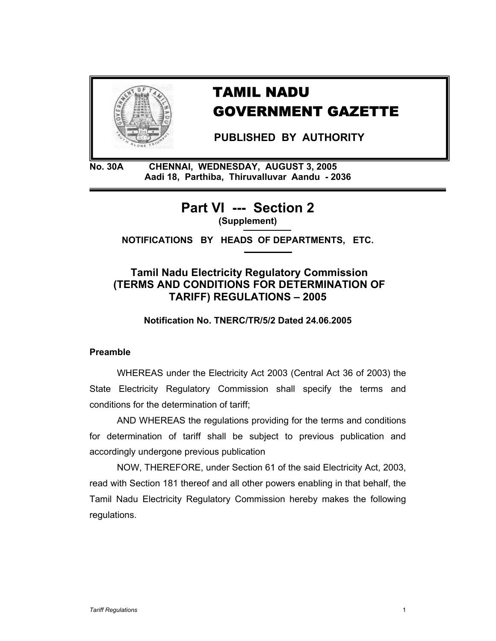

# TAMIL NADU GOVERNMENT GAZETTE

 **PUBLISHED BY AUTHORITY** 

**No. 30A CHENNAI, WEDNESDAY, AUGUST 3, 2005 Aadi 18, Parthiba, Thiruvalluvar Aandu - 2036** 

> **Part VI --- Section 2 (Supplement)**

**NOTIFICATIONS BY HEADS OF DEPARTMENTS, ETC.** 

# **Tamil Nadu Electricity Regulatory Commission (TERMS AND CONDITIONS FOR DETERMINATION OF TARIFF) REGULATIONS – 2005**

**Notification No. TNERC/TR/5/2 Dated 24.06.2005** 

# **Preamble**

WHEREAS under the Electricity Act 2003 (Central Act 36 of 2003) the State Electricity Regulatory Commission shall specify the terms and conditions for the determination of tariff;

 AND WHEREAS the regulations providing for the terms and conditions for determination of tariff shall be subject to previous publication and accordingly undergone previous publication

NOW, THEREFORE, under Section 61 of the said Electricity Act, 2003, read with Section 181 thereof and all other powers enabling in that behalf, the Tamil Nadu Electricity Regulatory Commission hereby makes the following regulations.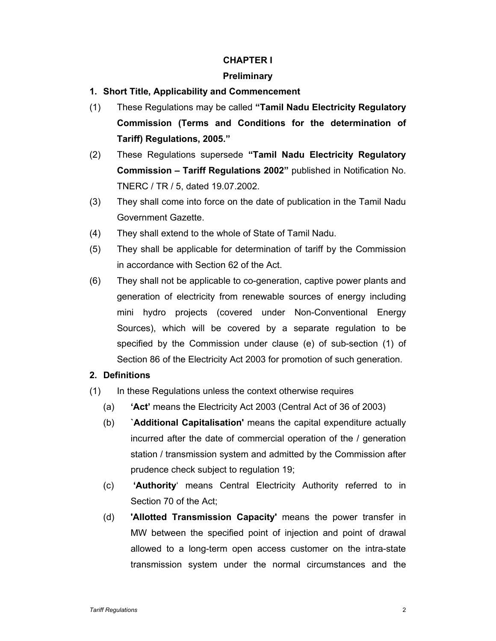# **CHAPTER I**

# **Preliminary**

- **1. Short Title, Applicability and Commencement**
- (1) These Regulations may be called **"Tamil Nadu Electricity Regulatory Commission (Terms and Conditions for the determination of Tariff) Regulations, 2005."**
- (2) These Regulations supersede **"Tamil Nadu Electricity Regulatory Commission – Tariff Regulations 2002"** published in Notification No. TNERC / TR / 5, dated 19.07.2002.
- (3) They shall come into force on the date of publication in the Tamil Nadu Government Gazette.
- (4) They shall extend to the whole of State of Tamil Nadu.
- (5) They shall be applicable for determination of tariff by the Commission in accordance with Section 62 of the Act.
- (6) They shall not be applicable to co-generation, captive power plants and generation of electricity from renewable sources of energy including mini hydro projects (covered under Non-Conventional Energy Sources), which will be covered by a separate regulation to be specified by the Commission under clause (e) of sub-section (1) of Section 86 of the Electricity Act 2003 for promotion of such generation.

# **2. Definitions**

- (1) In these Regulations unless the context otherwise requires
	- (a) **'Act'** means the Electricity Act 2003 (Central Act of 36 of 2003)
	- (b) **`Additional Capitalisation'** means the capital expenditure actually incurred after the date of commercial operation of the / generation station / transmission system and admitted by the Commission after prudence check subject to regulation 19;
	- (c) **'Authority**' means Central Electricity Authority referred to in Section 70 of the Act;
	- (d) **'Allotted Transmission Capacity'** means the power transfer in MW between the specified point of injection and point of drawal allowed to a long-term open access customer on the intra-state transmission system under the normal circumstances and the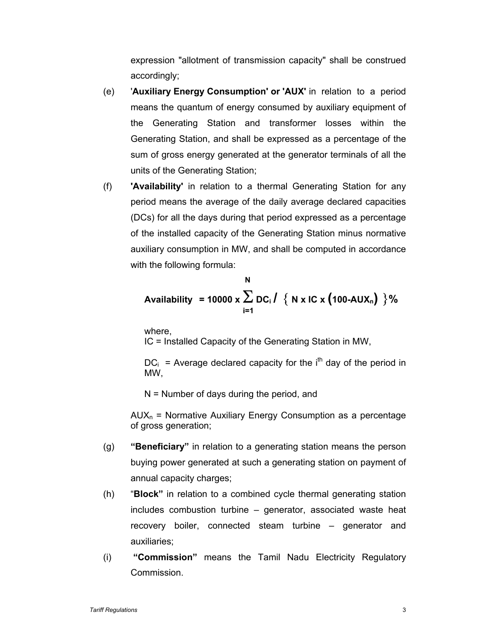expression "allotment of transmission capacity" shall be construed accordingly;

- (e) '**Auxiliary Energy Consumption' or 'AUX'** in relation to a period means the quantum of energy consumed by auxiliary equipment of the Generating Station and transformer losses within the Generating Station, and shall be expressed as a percentage of the sum of gross energy generated at the generator terminals of all the units of the Generating Station;
- (f) **'Availability'** in relation to a thermal Generating Station for any period means the average of the daily average declared capacities (DCs) for all the days during that period expressed as a percentage of the installed capacity of the Generating Station minus normative auxiliary consumption in MW, and shall be computed in accordance with the following formula:

Availability = 10000 x 
$$
\sum_{i=1}^{N} DC_i / \{ N \times IC \times (100-AUX_n) \}
$$
%

where,

IC = Installed Capacity of the Generating Station in MW,

 $DC_i$  = Average declared capacity for the i<sup>th</sup> day of the period in MW,

N = Number of days during the period, and

 $AUX_n$  = Normative Auxiliary Energy Consumption as a percentage of gross generation;

- (g) **"Beneficiary"** in relation to a generating station means the person buying power generated at such a generating station on payment of annual capacity charges;
- (h) "**Block"** in relation to a combined cycle thermal generating station includes combustion turbine – generator, associated waste heat recovery boiler, connected steam turbine – generator and auxiliaries;
- (i) **"Commission"** means the Tamil Nadu Electricity Regulatory Commission.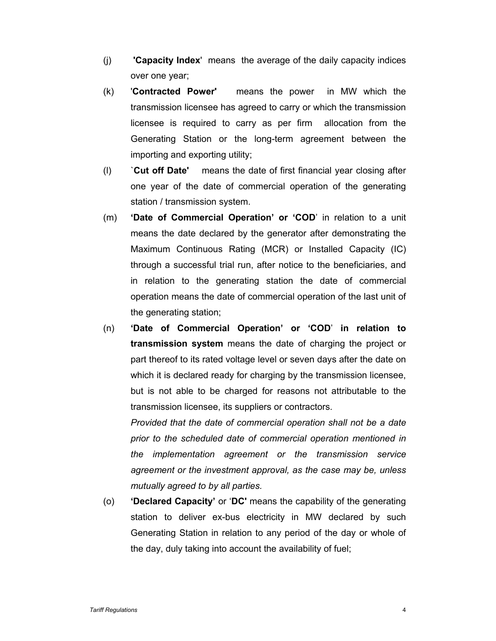- (j) **'Capacity Index**' means the average of the daily capacity indices over one year;
- (k) '**Contracted Power'** means the power in MW which the transmission licensee has agreed to carry or which the transmission licensee is required to carry as per firm allocation from the Generating Station or the long-term agreement between the importing and exporting utility;
- (l) `**Cut off Date'** means the date of first financial year closing after one year of the date of commercial operation of the generating station / transmission system.
- (m) **'Date of Commercial Operation' or 'COD**' in relation to a unit means the date declared by the generator after demonstrating the Maximum Continuous Rating (MCR) or Installed Capacity (IC) through a successful trial run, after notice to the beneficiaries, and in relation to the generating station the date of commercial operation means the date of commercial operation of the last unit of the generating station;
- (n) **'Date of Commercial Operation' or 'COD**' **in relation to transmission system** means the date of charging the project or part thereof to its rated voltage level or seven days after the date on which it is declared ready for charging by the transmission licensee, but is not able to be charged for reasons not attributable to the transmission licensee, its suppliers or contractors.

*Provided that the date of commercial operation shall not be a date prior to the scheduled date of commercial operation mentioned in the implementation agreement or the transmission service agreement or the investment approval, as the case may be, unless mutually agreed to by all parties.* 

(o) **'Declared Capacity'** or '**DC'** means the capability of the generating station to deliver ex-bus electricity in MW declared by such Generating Station in relation to any period of the day or whole of the day, duly taking into account the availability of fuel;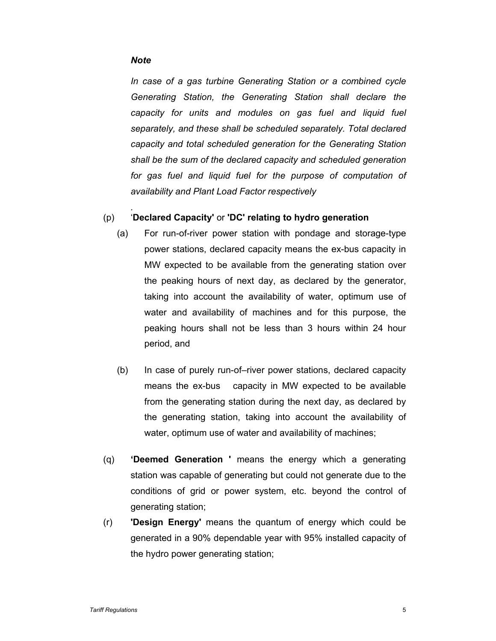### *Note*

*.* 

*In case of a gas turbine Generating Station or a combined cycle Generating Station, the Generating Station shall declare the capacity for units and modules on gas fuel and liquid fuel separately, and these shall be scheduled separately. Total declared capacity and total scheduled generation for the Generating Station shall be the sum of the declared capacity and scheduled generation for gas fuel and liquid fuel for the purpose of computation of availability and Plant Load Factor respectively* 

### (p) '**Declared Capacity'** or **'DC' relating to hydro generation**

- (a) For run-of-river power station with pondage and storage-type power stations, declared capacity means the ex-bus capacity in MW expected to be available from the generating station over the peaking hours of next day, as declared by the generator, taking into account the availability of water, optimum use of water and availability of machines and for this purpose, the peaking hours shall not be less than 3 hours within 24 hour period, and
- (b) In case of purely run-of–river power stations, declared capacity means the ex-bus capacity in MW expected to be available from the generating station during the next day, as declared by the generating station, taking into account the availability of water, optimum use of water and availability of machines;
- (q) **'Deemed Generation '** means the energy which a generating station was capable of generating but could not generate due to the conditions of grid or power system, etc. beyond the control of generating station;
- (r) **'Design Energy'** means the quantum of energy which could be generated in a 90% dependable year with 95% installed capacity of the hydro power generating station;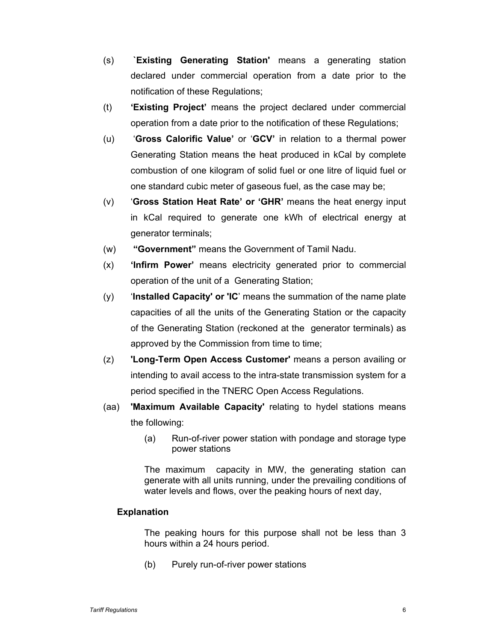- (s) **`Existing Generating Station'** means a generating station declared under commercial operation from a date prior to the notification of these Regulations;
- (t) **'Existing Project'** means the project declared under commercial operation from a date prior to the notification of these Regulations;
- (u) '**Gross Calorific Value'** or '**GCV'** in relation to a thermal power Generating Station means the heat produced in kCal by complete combustion of one kilogram of solid fuel or one litre of liquid fuel or one standard cubic meter of gaseous fuel, as the case may be;
- (v) '**Gross Station Heat Rate' or 'GHR'** means the heat energy input in kCal required to generate one kWh of electrical energy at generator terminals;
- (w) **"Government"** means the Government of Tamil Nadu.
- (x) **'Infirm Power'** means electricity generated prior to commercial operation of the unit of a Generating Station;
- (y) '**Installed Capacity' or 'IC**' means the summation of the name plate capacities of all the units of the Generating Station or the capacity of the Generating Station (reckoned at the generator terminals) as approved by the Commission from time to time;
- (z) **'Long-Term Open Access Customer'** means a person availing or intending to avail access to the intra-state transmission system for a period specified in the TNERC Open Access Regulations.
- (aa) **'Maximum Available Capacity'** relating to hydel stations means the following:
	- (a) Run-of-river power station with pondage and storage type power stations

The maximum capacity in MW, the generating station can generate with all units running, under the prevailing conditions of water levels and flows, over the peaking hours of next day,

# **Explanation**

The peaking hours for this purpose shall not be less than 3 hours within a 24 hours period.

(b) Purely run-of-river power stations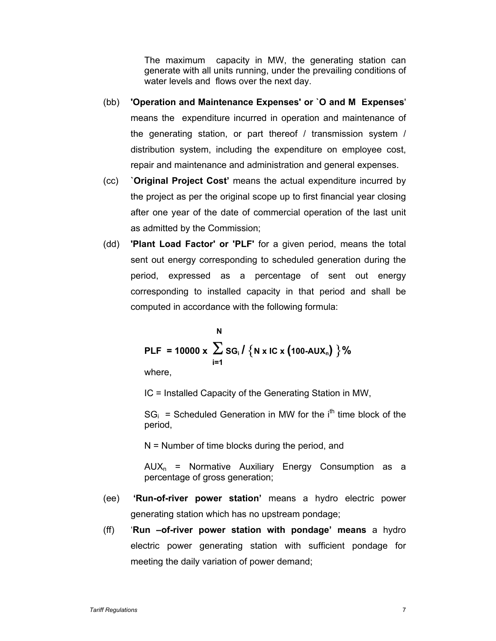The maximum capacity in MW, the generating station can generate with all units running, under the prevailing conditions of water levels and flows over the next day.

- (bb) **'Operation and Maintenance Expenses' or `O and M Expenses**' means the expenditure incurred in operation and maintenance of the generating station, or part thereof / transmission system / distribution system, including the expenditure on employee cost, repair and maintenance and administration and general expenses.
- (cc) **`Original Project Cost'** means the actual expenditure incurred by the project as per the original scope up to first financial year closing after one year of the date of commercial operation of the last unit as admitted by the Commission;
- (dd) **'Plant Load Factor' or 'PLF'** for a given period, means the total sent out energy corresponding to scheduled generation during the period, expressed as a percentage of sent out energy corresponding to installed capacity in that period and shall be computed in accordance with the following formula:

\n
$$
N
$$
\n  
\n**PLF = 10000 x**\n $\sum_{i=1}^{N} \text{SG}_i / \{N \times IC \times (100 - AUX_n)\}$ \n

\n\n where,\n

IC = Installed Capacity of the Generating Station in MW,

 $SG_i$  = Scheduled Generation in MW for the i<sup>th</sup> time block of the period,

 $N =$  Number of time blocks during the period, and

 $AUX_n$  = Normative Auxiliary Energy Consumption as a percentage of gross generation;

- (ee) **'Run-of-river power station'** means a hydro electric power generating station which has no upstream pondage;
- (ff) '**Run –of-river power station with pondage' means** a hydro electric power generating station with sufficient pondage for meeting the daily variation of power demand;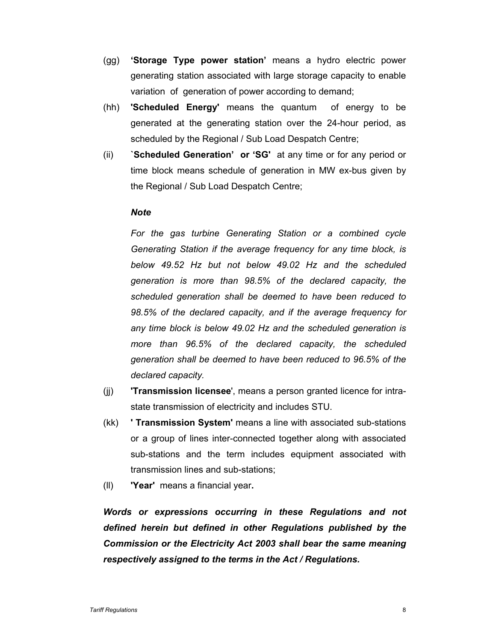- (gg) **'Storage Type power station'** means a hydro electric power generating station associated with large storage capacity to enable variation of generation of power according to demand;
- (hh) **'Scheduled Energy'** means the quantum of energy to be generated at the generating station over the 24-hour period, as scheduled by the Regional / Sub Load Despatch Centre;
- (ii) **`Scheduled Generation' or 'SG'** at any time or for any period or time block means schedule of generation in MW ex-bus given by the Regional / Sub Load Despatch Centre;

### *Note*

For the gas turbine Generating Station or a combined cycle *Generating Station if the average frequency for any time block, is below 49.52 Hz but not below 49.02 Hz and the scheduled generation is more than 98.5% of the declared capacity, the scheduled generation shall be deemed to have been reduced to 98.5% of the declared capacity, and if the average frequency for any time block is below 49.02 Hz and the scheduled generation is more than 96.5% of the declared capacity, the scheduled generation shall be deemed to have been reduced to 96.5% of the declared capacity.* 

- (jj) **'Transmission licensee**', means a person granted licence for intrastate transmission of electricity and includes STU.
- (kk) **' Transmission System'** means a line with associated sub-stations or a group of lines inter-connected together along with associated sub-stations and the term includes equipment associated with transmission lines and sub-stations;
- (ll) **'Year'** means a financial year**.**

*Words or expressions occurring in these Regulations and not defined herein but defined in other Regulations published by the Commission or the Electricity Act 2003 shall bear the same meaning respectively assigned to the terms in the Act / Regulations.*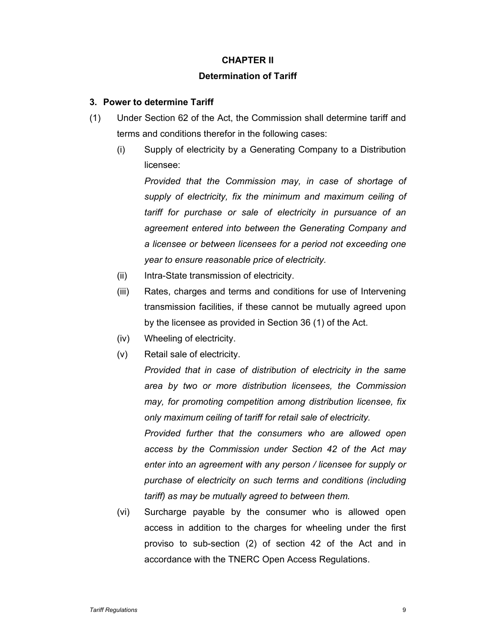# **CHAPTER II**

# **Determination of Tariff**

# **3. Power to determine Tariff**

- (1) Under Section 62 of the Act, the Commission shall determine tariff and terms and conditions therefor in the following cases:
	- (i) Supply of electricity by a Generating Company to a Distribution licensee:

*Provided that the Commission may, in case of shortage of supply of electricity, fix the minimum and maximum ceiling of tariff for purchase or sale of electricity in pursuance of an agreement entered into between the Generating Company and a licensee or between licensees for a period not exceeding one year to ensure reasonable price of electricity.* 

- (ii) Intra-State transmission of electricity.
- (iii) Rates, charges and terms and conditions for use of Intervening transmission facilities, if these cannot be mutually agreed upon by the licensee as provided in Section 36 (1) of the Act.
- (iv) Wheeling of electricity.
- (v) Retail sale of electricity.

*Provided that in case of distribution of electricity in the same area by two or more distribution licensees, the Commission may, for promoting competition among distribution licensee, fix only maximum ceiling of tariff for retail sale of electricity.* 

*Provided further that the consumers who are allowed open access by the Commission under Section 42 of the Act may enter into an agreement with any person / licensee for supply or purchase of electricity on such terms and conditions (including tariff) as may be mutually agreed to between them.* 

(vi) Surcharge payable by the consumer who is allowed open access in addition to the charges for wheeling under the first proviso to sub-section (2) of section 42 of the Act and in accordance with the TNERC Open Access Regulations.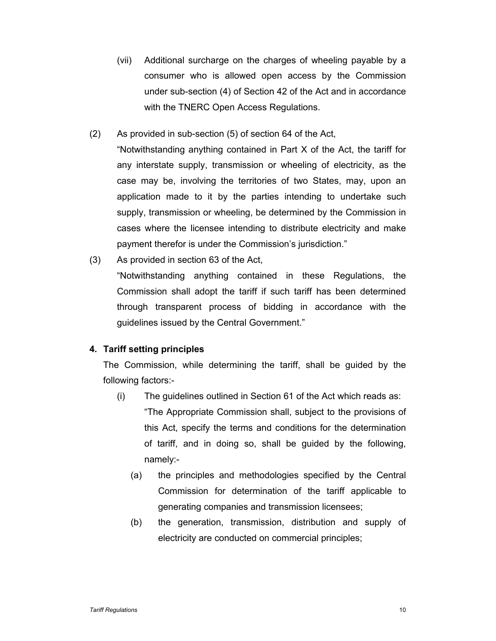- (vii) Additional surcharge on the charges of wheeling payable by a consumer who is allowed open access by the Commission under sub-section (4) of Section 42 of the Act and in accordance with the TNERC Open Access Regulations.
- (2) As provided in sub-section (5) of section 64 of the Act,

"Notwithstanding anything contained in Part X of the Act, the tariff for any interstate supply, transmission or wheeling of electricity, as the case may be, involving the territories of two States, may, upon an application made to it by the parties intending to undertake such supply, transmission or wheeling, be determined by the Commission in cases where the licensee intending to distribute electricity and make payment therefor is under the Commission's jurisdiction."

(3) As provided in section 63 of the Act,

"Notwithstanding anything contained in these Regulations, the Commission shall adopt the tariff if such tariff has been determined through transparent process of bidding in accordance with the guidelines issued by the Central Government."

# **4. Tariff setting principles**

The Commission, while determining the tariff, shall be guided by the following factors:-

- (i) The guidelines outlined in Section 61 of the Act which reads as: "The Appropriate Commission shall, subject to the provisions of this Act, specify the terms and conditions for the determination of tariff, and in doing so, shall be guided by the following, namely:-
	- (a) the principles and methodologies specified by the Central Commission for determination of the tariff applicable to generating companies and transmission licensees;
	- (b) the generation, transmission, distribution and supply of electricity are conducted on commercial principles;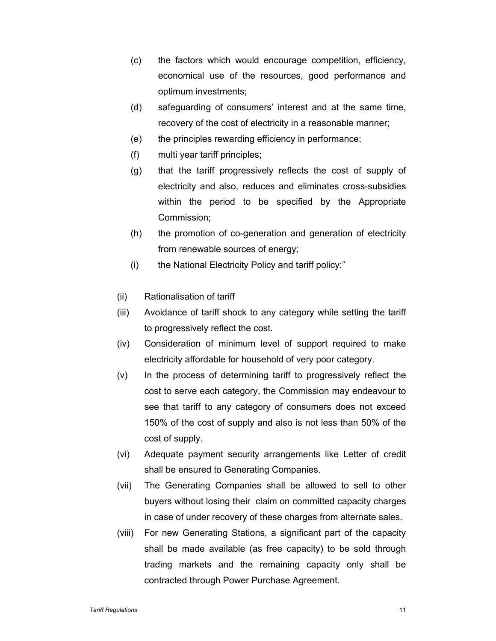- (c) the factors which would encourage competition, efficiency, economical use of the resources, good performance and optimum investments;
- (d) safeguarding of consumers' interest and at the same time, recovery of the cost of electricity in a reasonable manner;
- (e) the principles rewarding efficiency in performance;
- (f) multi year tariff principles;
- (g) that the tariff progressively reflects the cost of supply of electricity and also, reduces and eliminates cross-subsidies within the period to be specified by the Appropriate Commission;
- (h) the promotion of co-generation and generation of electricity from renewable sources of energy;
- (i) the National Electricity Policy and tariff policy:"
- (ii) Rationalisation of tariff
- (iii) Avoidance of tariff shock to any category while setting the tariff to progressively reflect the cost.
- (iv) Consideration of minimum level of support required to make electricity affordable for household of very poor category.
- (v) In the process of determining tariff to progressively reflect the cost to serve each category, the Commission may endeavour to see that tariff to any category of consumers does not exceed 150% of the cost of supply and also is not less than 50% of the cost of supply.
- (vi) Adequate payment security arrangements like Letter of credit shall be ensured to Generating Companies.
- (vii) The Generating Companies shall be allowed to sell to other buyers without losing their claim on committed capacity charges in case of under recovery of these charges from alternate sales.
- (viii) For new Generating Stations, a significant part of the capacity shall be made available (as free capacity) to be sold through trading markets and the remaining capacity only shall be contracted through Power Purchase Agreement.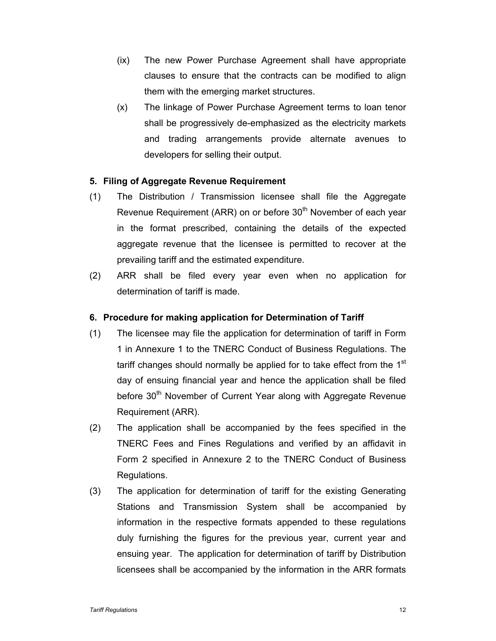- (ix) The new Power Purchase Agreement shall have appropriate clauses to ensure that the contracts can be modified to align them with the emerging market structures.
- (x) The linkage of Power Purchase Agreement terms to loan tenor shall be progressively de-emphasized as the electricity markets and trading arrangements provide alternate avenues to developers for selling their output.

# **5. Filing of Aggregate Revenue Requirement**

- (1) The Distribution / Transmission licensee shall file the Aggregate Revenue Requirement (ARR) on or before 30<sup>th</sup> November of each year in the format prescribed, containing the details of the expected aggregate revenue that the licensee is permitted to recover at the prevailing tariff and the estimated expenditure.
- (2) ARR shall be filed every year even when no application for determination of tariff is made.

### **6. Procedure for making application for Determination of Tariff**

- (1) The licensee may file the application for determination of tariff in Form 1 in Annexure 1 to the TNERC Conduct of Business Regulations. The tariff changes should normally be applied for to take effect from the 1<sup>st</sup> day of ensuing financial year and hence the application shall be filed before 30<sup>th</sup> November of Current Year along with Aggregate Revenue Requirement (ARR).
- (2) The application shall be accompanied by the fees specified in the TNERC Fees and Fines Regulations and verified by an affidavit in Form 2 specified in Annexure 2 to the TNERC Conduct of Business Regulations.
- (3) The application for determination of tariff for the existing Generating Stations and Transmission System shall be accompanied by information in the respective formats appended to these regulations duly furnishing the figures for the previous year, current year and ensuing year. The application for determination of tariff by Distribution licensees shall be accompanied by the information in the ARR formats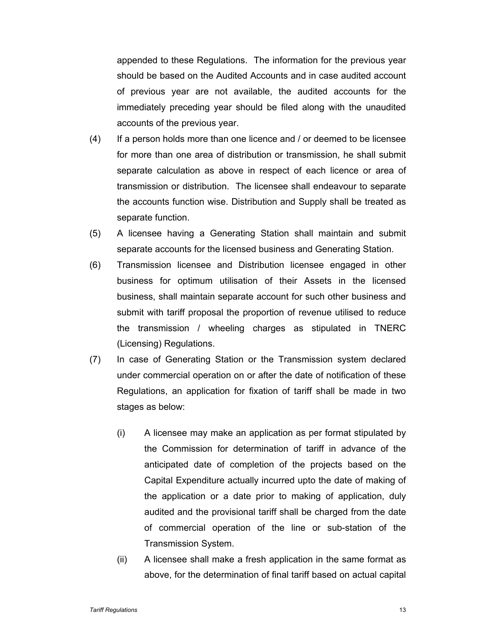appended to these Regulations. The information for the previous year should be based on the Audited Accounts and in case audited account of previous year are not available, the audited accounts for the immediately preceding year should be filed along with the unaudited accounts of the previous year.

- (4) If a person holds more than one licence and / or deemed to be licensee for more than one area of distribution or transmission, he shall submit separate calculation as above in respect of each licence or area of transmission or distribution. The licensee shall endeavour to separate the accounts function wise. Distribution and Supply shall be treated as separate function.
- (5) A licensee having a Generating Station shall maintain and submit separate accounts for the licensed business and Generating Station.
- (6) Transmission licensee and Distribution licensee engaged in other business for optimum utilisation of their Assets in the licensed business, shall maintain separate account for such other business and submit with tariff proposal the proportion of revenue utilised to reduce the transmission / wheeling charges as stipulated in TNERC (Licensing) Regulations.
- (7) In case of Generating Station or the Transmission system declared under commercial operation on or after the date of notification of these Regulations, an application for fixation of tariff shall be made in two stages as below:
	- (i) A licensee may make an application as per format stipulated by the Commission for determination of tariff in advance of the anticipated date of completion of the projects based on the Capital Expenditure actually incurred upto the date of making of the application or a date prior to making of application, duly audited and the provisional tariff shall be charged from the date of commercial operation of the line or sub-station of the Transmission System.
	- (ii) A licensee shall make a fresh application in the same format as above, for the determination of final tariff based on actual capital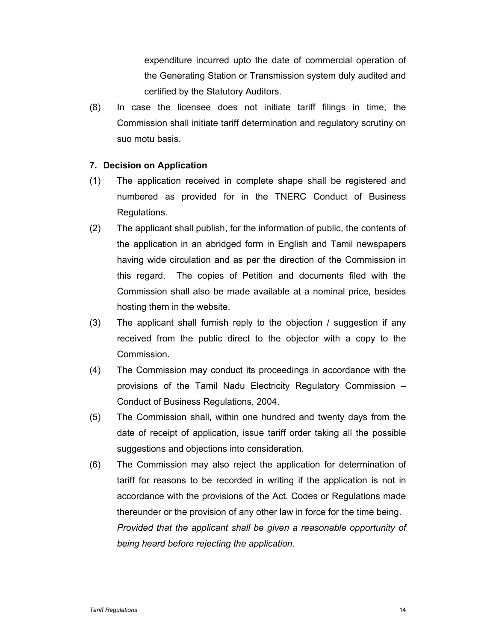expenditure incurred upto the date of commercial operation of the Generating Station or Transmission system duly audited and certified by the Statutory Auditors.

(8) In case the licensee does not initiate tariff filings in time, the Commission shall initiate tariff determination and regulatory scrutiny on suo motu basis.

### **7. Decision on Application**

- (1) The application received in complete shape shall be registered and numbered as provided for in the TNERC Conduct of Business Regulations.
- (2) The applicant shall publish, for the information of public, the contents of the application in an abridged form in English and Tamil newspapers having wide circulation and as per the direction of the Commission in this regard. The copies of Petition and documents filed with the Commission shall also be made available at a nominal price, besides hosting them in the website.
- (3) The applicant shall furnish reply to the objection / suggestion if any received from the public direct to the objector with a copy to the Commission.
- (4) The Commission may conduct its proceedings in accordance with the provisions of the Tamil Nadu Electricity Regulatory Commission – Conduct of Business Regulations, 2004.
- (5) The Commission shall, within one hundred and twenty days from the date of receipt of application, issue tariff order taking all the possible suggestions and objections into consideration.
- (6) The Commission may also reject the application for determination of tariff for reasons to be recorded in writing if the application is not in accordance with the provisions of the Act, Codes or Regulations made thereunder or the provision of any other law in force for the time being. *Provided that the applicant shall be given a reasonable opportunity of being heard before rejecting the application.*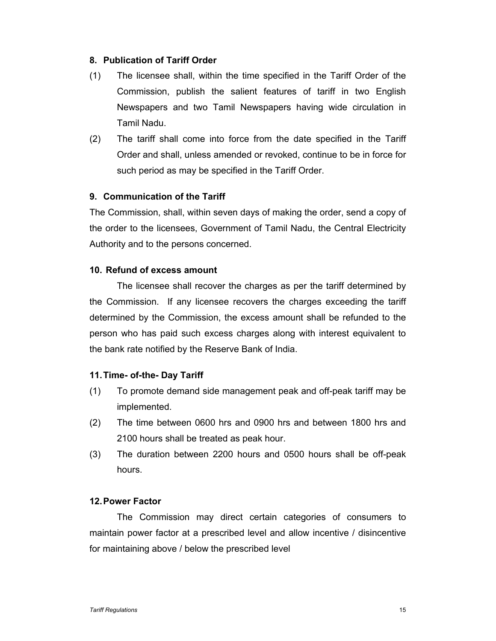# **8. Publication of Tariff Order**

- (1) The licensee shall, within the time specified in the Tariff Order of the Commission, publish the salient features of tariff in two English Newspapers and two Tamil Newspapers having wide circulation in Tamil Nadu.
- (2) The tariff shall come into force from the date specified in the Tariff Order and shall, unless amended or revoked, continue to be in force for such period as may be specified in the Tariff Order.

# **9. Communication of the Tariff**

The Commission, shall, within seven days of making the order, send a copy of the order to the licensees, Government of Tamil Nadu, the Central Electricity Authority and to the persons concerned.

# **10. Refund of excess amount**

The licensee shall recover the charges as per the tariff determined by the Commission. If any licensee recovers the charges exceeding the tariff determined by the Commission, the excess amount shall be refunded to the person who has paid such excess charges along with interest equivalent to the bank rate notified by the Reserve Bank of India.

# **11. Time- of-the- Day Tariff**

- (1) To promote demand side management peak and off-peak tariff may be implemented.
- (2) The time between 0600 hrs and 0900 hrs and between 1800 hrs and 2100 hours shall be treated as peak hour.
- (3) The duration between 2200 hours and 0500 hours shall be off-peak hours.

### **12. Power Factor**

The Commission may direct certain categories of consumers to maintain power factor at a prescribed level and allow incentive / disincentive for maintaining above / below the prescribed level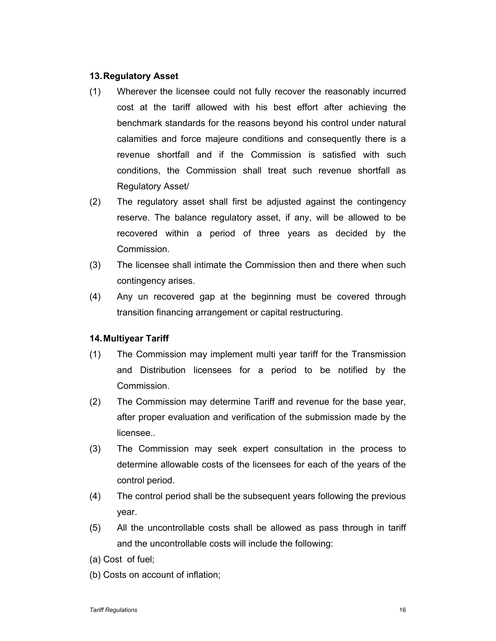# **13. Regulatory Asset**

- (1) Wherever the licensee could not fully recover the reasonably incurred cost at the tariff allowed with his best effort after achieving the benchmark standards for the reasons beyond his control under natural calamities and force majeure conditions and consequently there is a revenue shortfall and if the Commission is satisfied with such conditions, the Commission shall treat such revenue shortfall as Regulatory Asset/
- (2) The regulatory asset shall first be adjusted against the contingency reserve. The balance regulatory asset, if any, will be allowed to be recovered within a period of three years as decided by the Commission.
- (3) The licensee shall intimate the Commission then and there when such contingency arises.
- (4) Any un recovered gap at the beginning must be covered through transition financing arrangement or capital restructuring.

# **14. Multiyear Tariff**

- (1) The Commission may implement multi year tariff for the Transmission and Distribution licensees for a period to be notified by the Commission.
- (2) The Commission may determine Tariff and revenue for the base year, after proper evaluation and verification of the submission made by the licensee..
- (3) The Commission may seek expert consultation in the process to determine allowable costs of the licensees for each of the years of the control period.
- (4) The control period shall be the subsequent years following the previous year.
- (5) All the uncontrollable costs shall be allowed as pass through in tariff and the uncontrollable costs will include the following:
- (a) Cost of fuel;
- (b) Costs on account of inflation;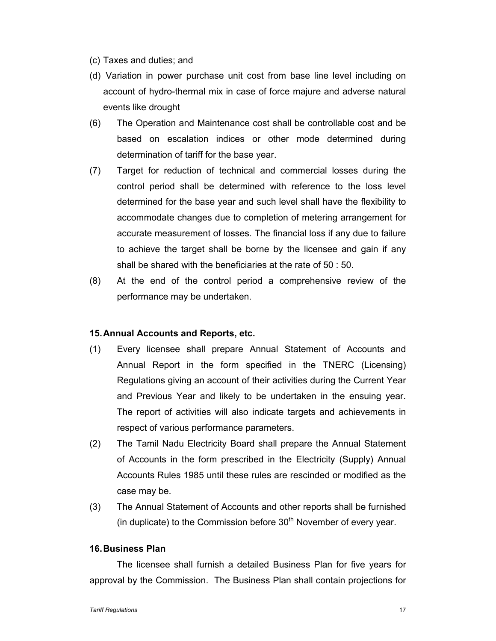- (c) Taxes and duties; and
- (d) Variation in power purchase unit cost from base line level including on account of hydro-thermal mix in case of force majure and adverse natural events like drought
- (6) The Operation and Maintenance cost shall be controllable cost and be based on escalation indices or other mode determined during determination of tariff for the base year.
- (7) Target for reduction of technical and commercial losses during the control period shall be determined with reference to the loss level determined for the base year and such level shall have the flexibility to accommodate changes due to completion of metering arrangement for accurate measurement of losses. The financial loss if any due to failure to achieve the target shall be borne by the licensee and gain if any shall be shared with the beneficiaries at the rate of 50 : 50.
- (8) At the end of the control period a comprehensive review of the performance may be undertaken.

### **15. Annual Accounts and Reports, etc.**

- (1) Every licensee shall prepare Annual Statement of Accounts and Annual Report in the form specified in the TNERC (Licensing) Regulations giving an account of their activities during the Current Year and Previous Year and likely to be undertaken in the ensuing year. The report of activities will also indicate targets and achievements in respect of various performance parameters.
- (2) The Tamil Nadu Electricity Board shall prepare the Annual Statement of Accounts in the form prescribed in the Electricity (Supply) Annual Accounts Rules 1985 until these rules are rescinded or modified as the case may be.
- (3) The Annual Statement of Accounts and other reports shall be furnished (in duplicate) to the Commission before  $30<sup>th</sup>$  November of every year.

### **16. Business Plan**

The licensee shall furnish a detailed Business Plan for five years for approval by the Commission. The Business Plan shall contain projections for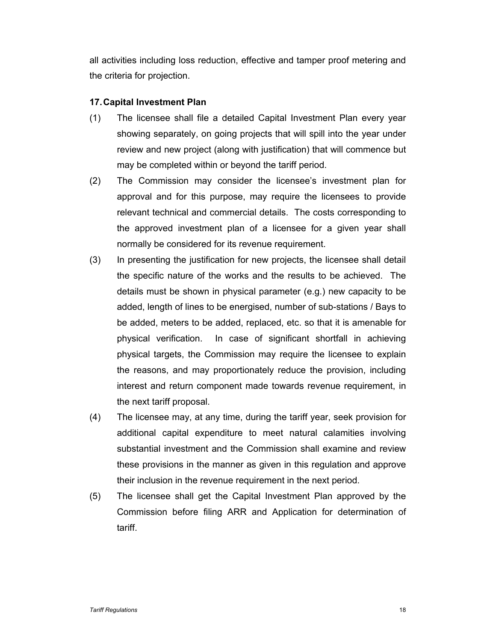all activities including loss reduction, effective and tamper proof metering and the criteria for projection.

# **17. Capital Investment Plan**

- (1) The licensee shall file a detailed Capital Investment Plan every year showing separately, on going projects that will spill into the year under review and new project (along with justification) that will commence but may be completed within or beyond the tariff period.
- (2) The Commission may consider the licensee's investment plan for approval and for this purpose, may require the licensees to provide relevant technical and commercial details. The costs corresponding to the approved investment plan of a licensee for a given year shall normally be considered for its revenue requirement.
- (3) In presenting the justification for new projects, the licensee shall detail the specific nature of the works and the results to be achieved. The details must be shown in physical parameter (e.g.) new capacity to be added, length of lines to be energised, number of sub-stations / Bays to be added, meters to be added, replaced, etc. so that it is amenable for physical verification. In case of significant shortfall in achieving physical targets, the Commission may require the licensee to explain the reasons, and may proportionately reduce the provision, including interest and return component made towards revenue requirement, in the next tariff proposal.
- (4) The licensee may, at any time, during the tariff year, seek provision for additional capital expenditure to meet natural calamities involving substantial investment and the Commission shall examine and review these provisions in the manner as given in this regulation and approve their inclusion in the revenue requirement in the next period.
- (5) The licensee shall get the Capital Investment Plan approved by the Commission before filing ARR and Application for determination of tariff.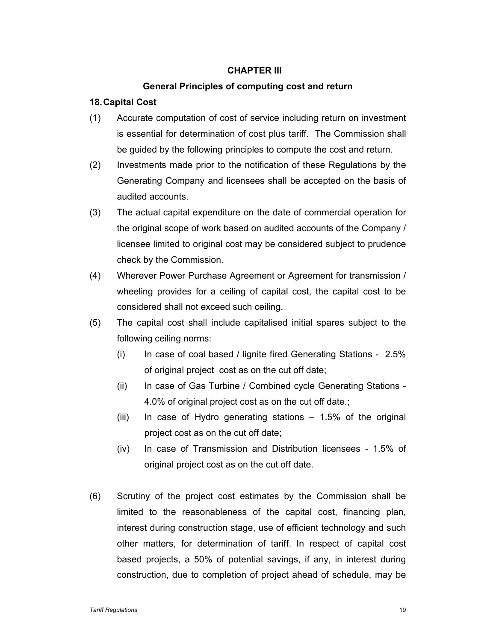# **CHAPTER III**

### **General Principles of computing cost and return**

### **18. Capital Cost**

- (1) Accurate computation of cost of service including return on investment is essential for determination of cost plus tariff. The Commission shall be guided by the following principles to compute the cost and return.
- (2) Investments made prior to the notification of these Regulations by the Generating Company and licensees shall be accepted on the basis of audited accounts.
- (3) The actual capital expenditure on the date of commercial operation for the original scope of work based on audited accounts of the Company / licensee limited to original cost may be considered subject to prudence check by the Commission.
- (4) Wherever Power Purchase Agreement or Agreement for transmission / wheeling provides for a ceiling of capital cost, the capital cost to be considered shall not exceed such ceiling.
- (5) The capital cost shall include capitalised initial spares subject to the following ceiling norms:
	- (i) In case of coal based / lignite fired Generating Stations 2.5% of original project cost as on the cut off date;
	- (ii) In case of Gas Turbine / Combined cycle Generating Stations 4.0% of original project cost as on the cut off date.;
	- (iii) In case of Hydro generating stations 1.5% of the original project cost as on the cut off date;
	- (iv) In case of Transmission and Distribution licensees 1.5% of original project cost as on the cut off date.
- (6) Scrutiny of the project cost estimates by the Commission shall be limited to the reasonableness of the capital cost, financing plan, interest during construction stage, use of efficient technology and such other matters, for determination of tariff. In respect of capital cost based projects, a 50% of potential savings, if any, in interest during construction, due to completion of project ahead of schedule, may be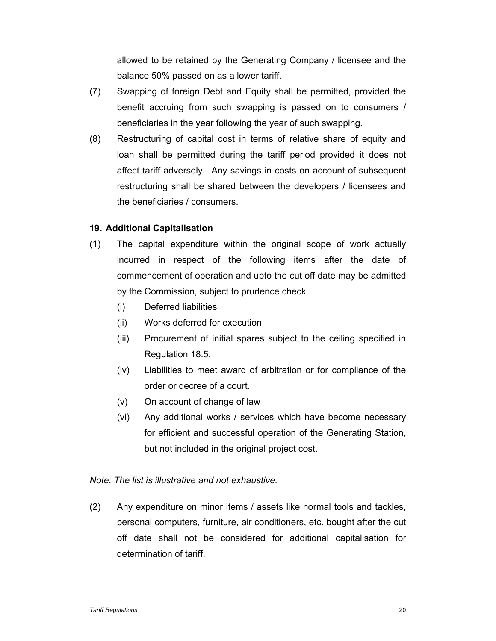allowed to be retained by the Generating Company / licensee and the balance 50% passed on as a lower tariff.

- (7) Swapping of foreign Debt and Equity shall be permitted, provided the benefit accruing from such swapping is passed on to consumers / beneficiaries in the year following the year of such swapping.
- (8) Restructuring of capital cost in terms of relative share of equity and loan shall be permitted during the tariff period provided it does not affect tariff adversely. Any savings in costs on account of subsequent restructuring shall be shared between the developers / licensees and the beneficiaries / consumers.

# **19. Additional Capitalisation**

- (1) The capital expenditure within the original scope of work actually incurred in respect of the following items after the date of commencement of operation and upto the cut off date may be admitted by the Commission, subject to prudence check.
	- (i) Deferred liabilities
	- (ii) Works deferred for execution
	- (iii) Procurement of initial spares subject to the ceiling specified in Regulation 18.5.
	- (iv) Liabilities to meet award of arbitration or for compliance of the order or decree of a court.
	- (v) On account of change of law
	- (vi) Any additional works / services which have become necessary for efficient and successful operation of the Generating Station, but not included in the original project cost.

### *Note: The list is illustrative and not exhaustive.*

(2) Any expenditure on minor items / assets like normal tools and tackles, personal computers, furniture, air conditioners, etc. bought after the cut off date shall not be considered for additional capitalisation for determination of tariff.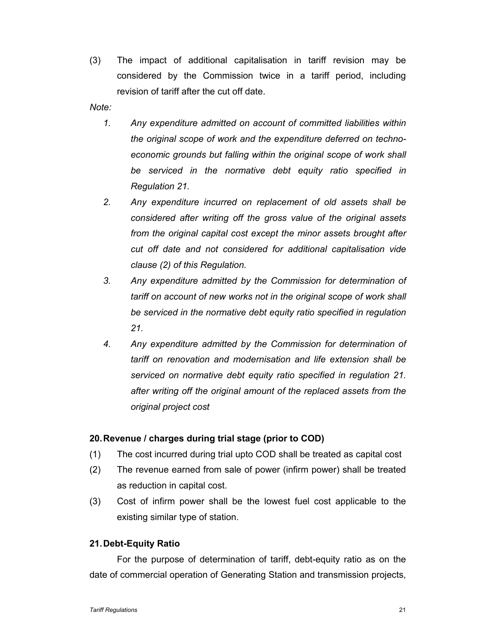(3) The impact of additional capitalisation in tariff revision may be considered by the Commission twice in a tariff period, including revision of tariff after the cut off date.

*Note:* 

- *1. Any expenditure admitted on account of committed liabilities within the original scope of work and the expenditure deferred on technoeconomic grounds but falling within the original scope of work shall be serviced in the normative debt equity ratio specified in Regulation 21.*
- *2. Any expenditure incurred on replacement of old assets shall be considered after writing off the gross value of the original assets from the original capital cost except the minor assets brought after cut off date and not considered for additional capitalisation vide clause (2) of this Regulation.*
- *3. Any expenditure admitted by the Commission for determination of tariff on account of new works not in the original scope of work shall be serviced in the normative debt equity ratio specified in regulation 21.*
- *4. Any expenditure admitted by the Commission for determination of tariff on renovation and modernisation and life extension shall be serviced on normative debt equity ratio specified in regulation 21. after writing off the original amount of the replaced assets from the original project cost*

# **20. Revenue / charges during trial stage (prior to COD)**

- (1) The cost incurred during trial upto COD shall be treated as capital cost
- (2) The revenue earned from sale of power (infirm power) shall be treated as reduction in capital cost.
- (3) Cost of infirm power shall be the lowest fuel cost applicable to the existing similar type of station.

# **21. Debt-Equity Ratio**

For the purpose of determination of tariff, debt-equity ratio as on the date of commercial operation of Generating Station and transmission projects,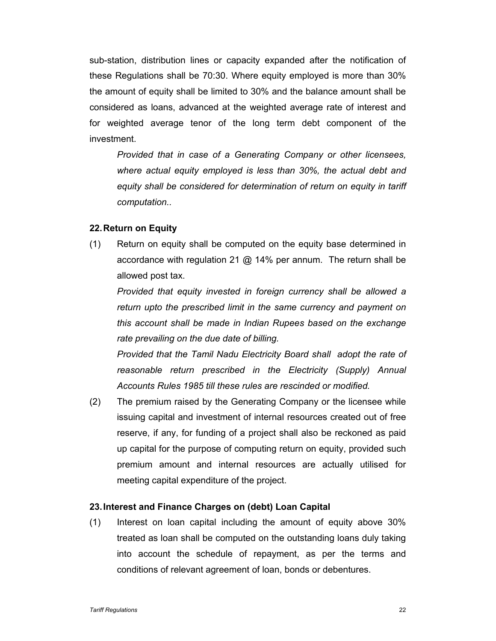sub-station, distribution lines or capacity expanded after the notification of these Regulations shall be 70:30. Where equity employed is more than 30% the amount of equity shall be limited to 30% and the balance amount shall be considered as loans, advanced at the weighted average rate of interest and for weighted average tenor of the long term debt component of the investment.

*Provided that in case of a Generating Company or other licensees, where actual equity employed is less than 30%, the actual debt and equity shall be considered for determination of return on equity in tariff computation..* 

### **22. Return on Equity**

(1) Return on equity shall be computed on the equity base determined in accordance with regulation 21  $\omega$  14% per annum. The return shall be allowed post tax.

*Provided that equity invested in foreign currency shall be allowed a return upto the prescribed limit in the same currency and payment on this account shall be made in Indian Rupees based on the exchange rate prevailing on the due date of billing.* 

*Provided that the Tamil Nadu Electricity Board shall adopt the rate of reasonable return prescribed in the Electricity (Supply) Annual Accounts Rules 1985 till these rules are rescinded or modified.* 

(2) The premium raised by the Generating Company or the licensee while issuing capital and investment of internal resources created out of free reserve, if any, for funding of a project shall also be reckoned as paid up capital for the purpose of computing return on equity, provided such premium amount and internal resources are actually utilised for meeting capital expenditure of the project.

### **23. Interest and Finance Charges on (debt) Loan Capital**

(1) Interest on loan capital including the amount of equity above 30% treated as loan shall be computed on the outstanding loans duly taking into account the schedule of repayment, as per the terms and conditions of relevant agreement of loan, bonds or debentures.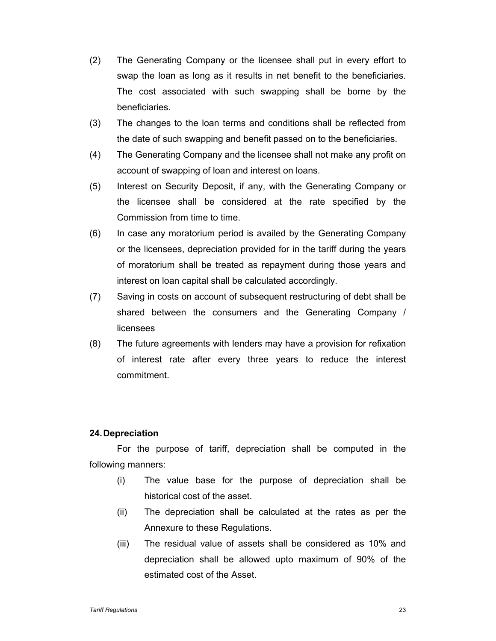- (2) The Generating Company or the licensee shall put in every effort to swap the loan as long as it results in net benefit to the beneficiaries. The cost associated with such swapping shall be borne by the beneficiaries.
- (3) The changes to the loan terms and conditions shall be reflected from the date of such swapping and benefit passed on to the beneficiaries.
- (4) The Generating Company and the licensee shall not make any profit on account of swapping of loan and interest on loans.
- (5) Interest on Security Deposit, if any, with the Generating Company or the licensee shall be considered at the rate specified by the Commission from time to time.
- (6) In case any moratorium period is availed by the Generating Company or the licensees, depreciation provided for in the tariff during the years of moratorium shall be treated as repayment during those years and interest on loan capital shall be calculated accordingly.
- (7) Saving in costs on account of subsequent restructuring of debt shall be shared between the consumers and the Generating Company / licensees
- (8) The future agreements with lenders may have a provision for refixation of interest rate after every three years to reduce the interest commitment.

# **24. Depreciation**

For the purpose of tariff, depreciation shall be computed in the following manners:

- (i) The value base for the purpose of depreciation shall be historical cost of the asset.
- (ii) The depreciation shall be calculated at the rates as per the Annexure to these Regulations.
- (iii) The residual value of assets shall be considered as 10% and depreciation shall be allowed upto maximum of 90% of the estimated cost of the Asset.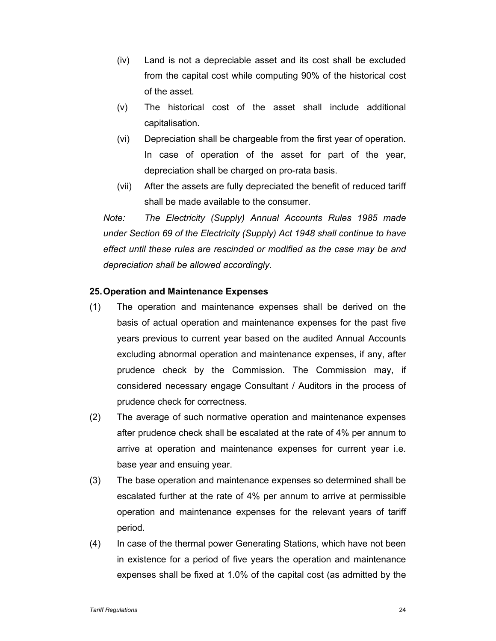- (iv) Land is not a depreciable asset and its cost shall be excluded from the capital cost while computing 90% of the historical cost of the asset.
- (v) The historical cost of the asset shall include additional capitalisation.
- (vi) Depreciation shall be chargeable from the first year of operation. In case of operation of the asset for part of the year, depreciation shall be charged on pro-rata basis.
- (vii) After the assets are fully depreciated the benefit of reduced tariff shall be made available to the consumer.

*Note: The Electricity (Supply) Annual Accounts Rules 1985 made under Section 69 of the Electricity (Supply) Act 1948 shall continue to have effect until these rules are rescinded or modified as the case may be and depreciation shall be allowed accordingly.* 

### **25. Operation and Maintenance Expenses**

- (1) The operation and maintenance expenses shall be derived on the basis of actual operation and maintenance expenses for the past five years previous to current year based on the audited Annual Accounts excluding abnormal operation and maintenance expenses, if any, after prudence check by the Commission. The Commission may, if considered necessary engage Consultant / Auditors in the process of prudence check for correctness.
- (2) The average of such normative operation and maintenance expenses after prudence check shall be escalated at the rate of 4% per annum to arrive at operation and maintenance expenses for current year i.e. base year and ensuing year.
- (3) The base operation and maintenance expenses so determined shall be escalated further at the rate of 4% per annum to arrive at permissible operation and maintenance expenses for the relevant years of tariff period.
- (4) In case of the thermal power Generating Stations, which have not been in existence for a period of five years the operation and maintenance expenses shall be fixed at 1.0% of the capital cost (as admitted by the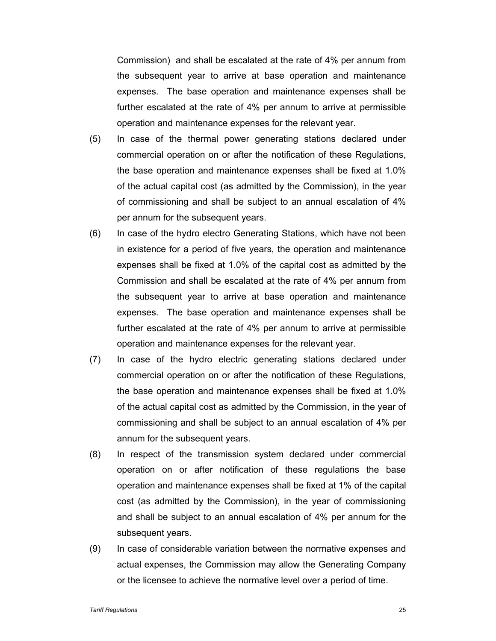Commission) and shall be escalated at the rate of 4% per annum from the subsequent year to arrive at base operation and maintenance expenses. The base operation and maintenance expenses shall be further escalated at the rate of 4% per annum to arrive at permissible operation and maintenance expenses for the relevant year.

- (5) In case of the thermal power generating stations declared under commercial operation on or after the notification of these Regulations, the base operation and maintenance expenses shall be fixed at 1.0% of the actual capital cost (as admitted by the Commission), in the year of commissioning and shall be subject to an annual escalation of 4% per annum for the subsequent years.
- (6) In case of the hydro electro Generating Stations, which have not been in existence for a period of five years, the operation and maintenance expenses shall be fixed at 1.0% of the capital cost as admitted by the Commission and shall be escalated at the rate of 4% per annum from the subsequent year to arrive at base operation and maintenance expenses. The base operation and maintenance expenses shall be further escalated at the rate of 4% per annum to arrive at permissible operation and maintenance expenses for the relevant year.
- (7) In case of the hydro electric generating stations declared under commercial operation on or after the notification of these Regulations, the base operation and maintenance expenses shall be fixed at 1.0% of the actual capital cost as admitted by the Commission, in the year of commissioning and shall be subject to an annual escalation of 4% per annum for the subsequent years.
- (8) In respect of the transmission system declared under commercial operation on or after notification of these regulations the base operation and maintenance expenses shall be fixed at 1% of the capital cost (as admitted by the Commission), in the year of commissioning and shall be subject to an annual escalation of 4% per annum for the subsequent years.
- (9) In case of considerable variation between the normative expenses and actual expenses, the Commission may allow the Generating Company or the licensee to achieve the normative level over a period of time.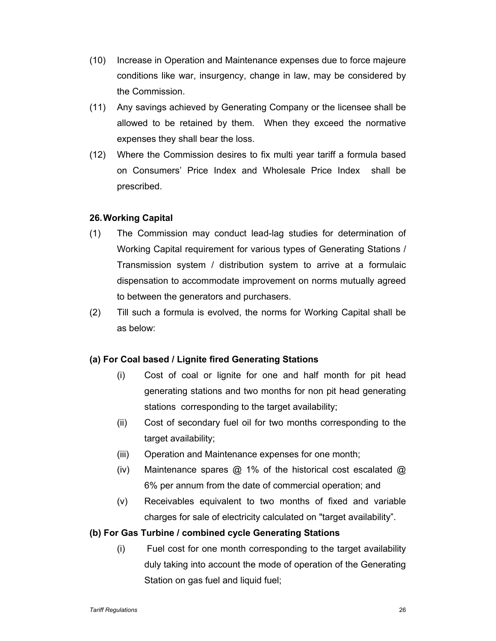- (10) Increase in Operation and Maintenance expenses due to force majeure conditions like war, insurgency, change in law, may be considered by the Commission.
- (11) Any savings achieved by Generating Company or the licensee shall be allowed to be retained by them. When they exceed the normative expenses they shall bear the loss.
- (12) Where the Commission desires to fix multi year tariff a formula based on Consumers' Price Index and Wholesale Price Index shall be prescribed.

# **26. Working Capital**

- (1) The Commission may conduct lead-lag studies for determination of Working Capital requirement for various types of Generating Stations / Transmission system / distribution system to arrive at a formulaic dispensation to accommodate improvement on norms mutually agreed to between the generators and purchasers.
- (2) Till such a formula is evolved, the norms for Working Capital shall be as below:

### **(a) For Coal based / Lignite fired Generating Stations**

- (i) Cost of coal or lignite for one and half month for pit head generating stations and two months for non pit head generating stations corresponding to the target availability;
- (ii) Cost of secondary fuel oil for two months corresponding to the target availability;
- (iii) Operation and Maintenance expenses for one month;
- (iv) Maintenance spares  $\omega$  1% of the historical cost escalated  $\omega$ 6% per annum from the date of commercial operation; and
- (v) Receivables equivalent to two months of fixed and variable charges for sale of electricity calculated on "target availability".

### **(b) For Gas Turbine / combined cycle Generating Stations**

(i) Fuel cost for one month corresponding to the target availability duly taking into account the mode of operation of the Generating Station on gas fuel and liquid fuel;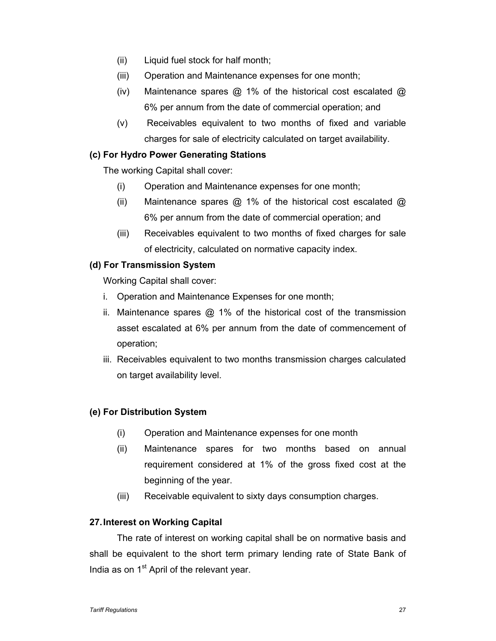- (ii) Liquid fuel stock for half month;
- (iii) Operation and Maintenance expenses for one month;
- (iv) Maintenance spares @ 1% of the historical cost escalated @ 6% per annum from the date of commercial operation; and
- (v) Receivables equivalent to two months of fixed and variable charges for sale of electricity calculated on target availability.

# **(c) For Hydro Power Generating Stations**

The working Capital shall cover:

- (i) Operation and Maintenance expenses for one month;
- (ii) Maintenance spares @ 1% of the historical cost escalated @ 6% per annum from the date of commercial operation; and
- (iii) Receivables equivalent to two months of fixed charges for sale of electricity, calculated on normative capacity index.

# **(d) For Transmission System**

Working Capital shall cover:

- i. Operation and Maintenance Expenses for one month;
- ii. Maintenance spares  $@1\%$  of the historical cost of the transmission asset escalated at 6% per annum from the date of commencement of operation;
- iii. Receivables equivalent to two months transmission charges calculated on target availability level.

# **(e) For Distribution System**

- (i) Operation and Maintenance expenses for one month
- (ii) Maintenance spares for two months based on annual requirement considered at 1% of the gross fixed cost at the beginning of the year.
- (iii) Receivable equivalent to sixty days consumption charges.

### **27. Interest on Working Capital**

The rate of interest on working capital shall be on normative basis and shall be equivalent to the short term primary lending rate of State Bank of India as on 1<sup>st</sup> April of the relevant year.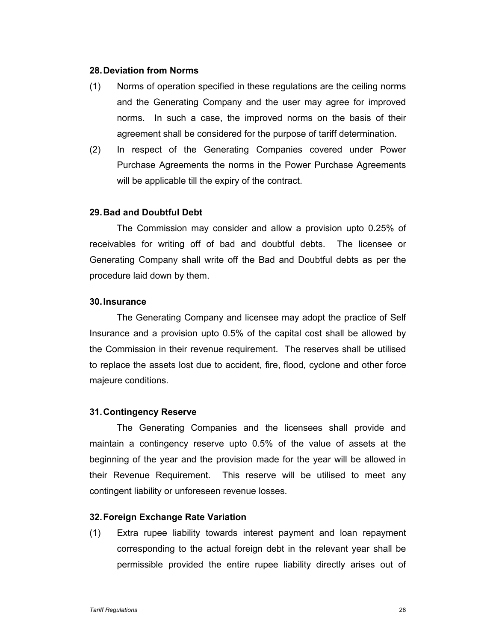### **28. Deviation from Norms**

- (1) Norms of operation specified in these regulations are the ceiling norms and the Generating Company and the user may agree for improved norms. In such a case, the improved norms on the basis of their agreement shall be considered for the purpose of tariff determination.
- (2) In respect of the Generating Companies covered under Power Purchase Agreements the norms in the Power Purchase Agreements will be applicable till the expiry of the contract.

### **29. Bad and Doubtful Debt**

The Commission may consider and allow a provision upto 0.25% of receivables for writing off of bad and doubtful debts. The licensee or Generating Company shall write off the Bad and Doubtful debts as per the procedure laid down by them.

#### **30. Insurance**

The Generating Company and licensee may adopt the practice of Self Insurance and a provision upto 0.5% of the capital cost shall be allowed by the Commission in their revenue requirement. The reserves shall be utilised to replace the assets lost due to accident, fire, flood, cyclone and other force majeure conditions.

#### **31. Contingency Reserve**

The Generating Companies and the licensees shall provide and maintain a contingency reserve upto 0.5% of the value of assets at the beginning of the year and the provision made for the year will be allowed in their Revenue Requirement. This reserve will be utilised to meet any contingent liability or unforeseen revenue losses.

#### **32. Foreign Exchange Rate Variation**

(1) Extra rupee liability towards interest payment and loan repayment corresponding to the actual foreign debt in the relevant year shall be permissible provided the entire rupee liability directly arises out of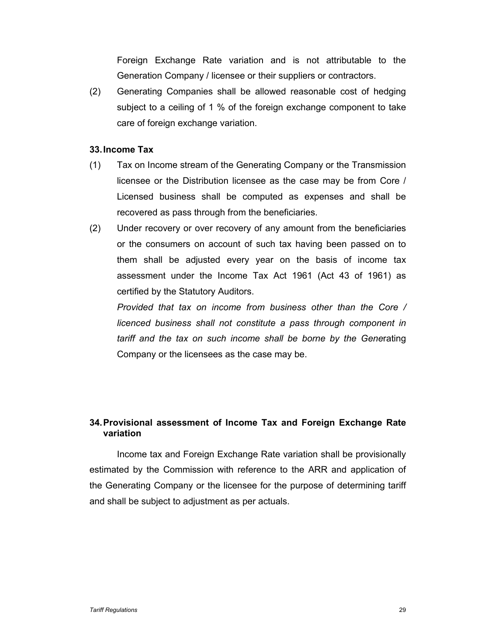Foreign Exchange Rate variation and is not attributable to the Generation Company / licensee or their suppliers or contractors.

(2) Generating Companies shall be allowed reasonable cost of hedging subject to a ceiling of 1 % of the foreign exchange component to take care of foreign exchange variation.

# **33. Income Tax**

- (1) Tax on Income stream of the Generating Company or the Transmission licensee or the Distribution licensee as the case may be from Core / Licensed business shall be computed as expenses and shall be recovered as pass through from the beneficiaries.
- (2) Under recovery or over recovery of any amount from the beneficiaries or the consumers on account of such tax having been passed on to them shall be adjusted every year on the basis of income tax assessment under the Income Tax Act 1961 (Act 43 of 1961) as certified by the Statutory Auditors.

*Provided that tax on income from business other than the Core / licenced business shall not constitute a pass through component in tariff and the tax on such income shall be borne by the Gene*rating Company or the licensees as the case may be.

# **34. Provisional assessment of Income Tax and Foreign Exchange Rate variation**

Income tax and Foreign Exchange Rate variation shall be provisionally estimated by the Commission with reference to the ARR and application of the Generating Company or the licensee for the purpose of determining tariff and shall be subject to adjustment as per actuals.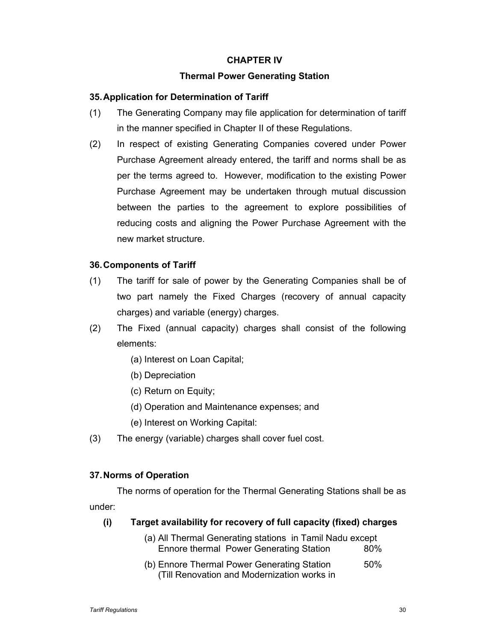# **CHAPTER IV**

# **Thermal Power Generating Station**

# **35. Application for Determination of Tariff**

- (1) The Generating Company may file application for determination of tariff in the manner specified in Chapter II of these Regulations.
- (2) In respect of existing Generating Companies covered under Power Purchase Agreement already entered, the tariff and norms shall be as per the terms agreed to. However, modification to the existing Power Purchase Agreement may be undertaken through mutual discussion between the parties to the agreement to explore possibilities of reducing costs and aligning the Power Purchase Agreement with the new market structure.

# **36. Components of Tariff**

- (1) The tariff for sale of power by the Generating Companies shall be of two part namely the Fixed Charges (recovery of annual capacity charges) and variable (energy) charges.
- (2) The Fixed (annual capacity) charges shall consist of the following elements:
	- (a) Interest on Loan Capital;
	- (b) Depreciation
	- (c) Return on Equity;
	- (d) Operation and Maintenance expenses; and
	- (e) Interest on Working Capital:
- (3) The energy (variable) charges shall cover fuel cost.

# **37. Norms of Operation**

The norms of operation for the Thermal Generating Stations shall be as under:

# **(i) Target availability for recovery of full capacity (fixed) charges**

- (a) All Thermal Generating stations in Tamil Nadu except Ennore thermal Power Generating Station 80%
- (b) Ennore Thermal Power Generating Station 50% (Till Renovation and Modernization works in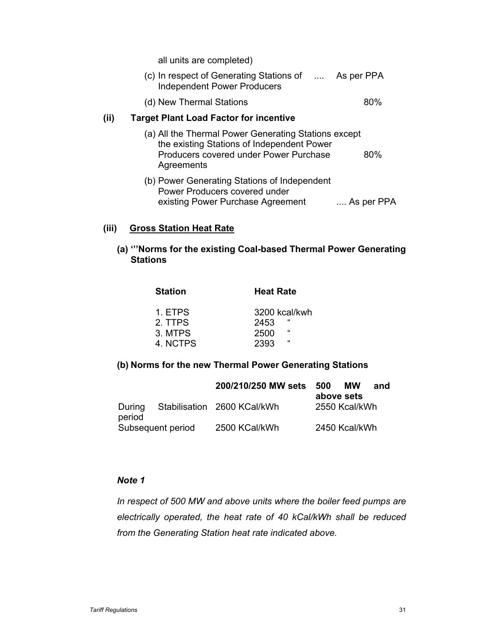all units are completed)

| (c) In respect of Generating Stations of | $\cdots$ | As per PPA |
|------------------------------------------|----------|------------|
| Independent Power Producers              |          |            |
|                                          |          |            |

(d) New Thermal Stations 80%

### **(ii) Target Plant Load Factor for incentive**

- (a) All the Thermal Power Generating Stations except the existing Stations of Independent Power Producers covered under Power Purchase 80% **Agreements**
- (b) Power Generating Stations of Independent Power Producers covered under existing Power Purchase Agreement .... As per PPA

# **(iii) Gross Station Heat Rate**

# **(a) '''Norms for the existing Coal-based Thermal Power Generating Stations**

| <b>Heat Rate</b> |
|------------------|
| 3200 kcal/kwh    |
| "<br>2453        |
| "<br>2500        |
| "<br>2393        |
|                  |

# **(b) Norms for the new Thermal Power Generating Stations**

|                  |                   | 200/210/250 MW sets         | -500 | МW            | and |
|------------------|-------------------|-----------------------------|------|---------------|-----|
|                  |                   |                             |      | above sets    |     |
| During<br>period |                   | Stabilisation 2600 KCal/kWh |      | 2550 Kcal/kWh |     |
|                  | Subsequent period | 2500 KCal/kWh               |      | 2450 Kcal/kWh |     |

# *Note 1*

*In respect of 500 MW and above units where the boiler feed pumps are electrically operated, the heat rate of 40 kCal/kWh shall be reduced from the Generating Station heat rate indicated above.*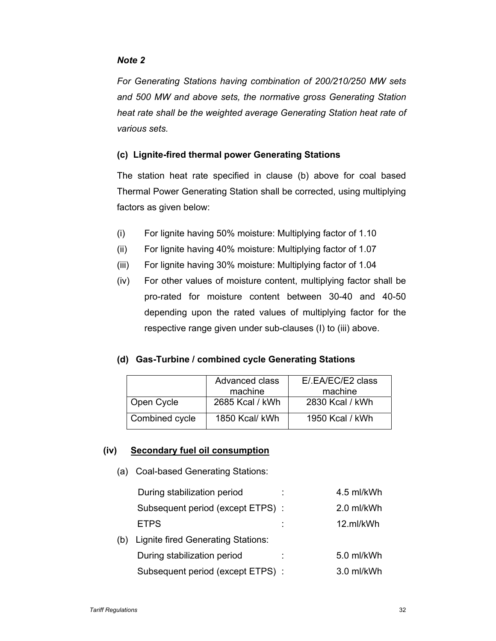# *Note 2*

*For Generating Stations having combination of 200/210/250 MW sets and 500 MW and above sets, the normative gross Generating Station heat rate shall be the weighted average Generating Station heat rate of various sets.* 

# **(c) Lignite-fired thermal power Generating Stations**

The station heat rate specified in clause (b) above for coal based Thermal Power Generating Station shall be corrected, using multiplying factors as given below:

- (i) For lignite having 50% moisture: Multiplying factor of 1.10
- (ii) For lignite having 40% moisture: Multiplying factor of 1.07
- (iii) For lignite having 30% moisture: Multiplying factor of 1.04
- (iv) For other values of moisture content, multiplying factor shall be pro-rated for moisture content between 30-40 and 40-50 depending upon the rated values of multiplying factor for the respective range given under sub-clauses (I) to (iii) above.

# **(d) Gas-Turbine / combined cycle Generating Stations**

|                | Advanced class<br>machine | E/.EA/EC/E2 class<br>machine |
|----------------|---------------------------|------------------------------|
| Open Cycle     | 2685 Kcal / kWh           | 2830 Kcal / kWh              |
| Combined cycle | 1850 Kcal/ kWh            | 1950 Kcal / kWh              |

# **(iv) Secondary fuel oil consumption**

(a) Coal-based Generating Stations:

|     | During stabilization period        | 4.5 ml/kWh |
|-----|------------------------------------|------------|
|     | Subsequent period (except ETPS):   | 2.0 ml/kWh |
|     | <b>ETPS</b>                        | 12.ml/kWh  |
| (b) | Lignite fired Generating Stations: |            |
|     | During stabilization period        | 5.0 ml/kWh |
|     | Subsequent period (except ETPS):   | 3.0 ml/kWh |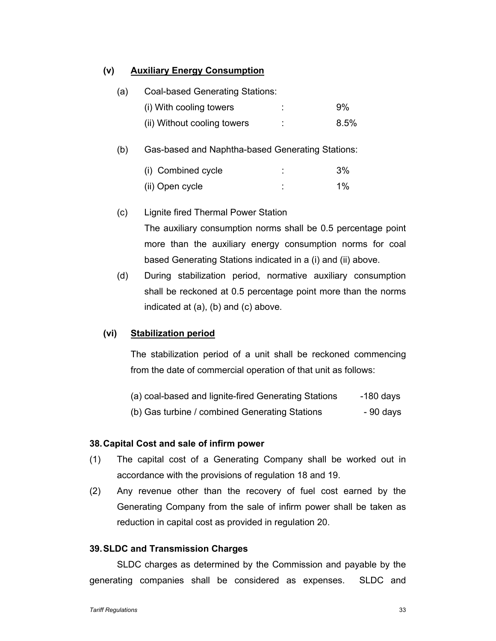# **(v) Auxiliary Energy Consumption**

| (a) | Coal-based Generating Stations: |   |      |
|-----|---------------------------------|---|------|
|     | (i) With cooling towers         |   | 9%   |
|     | (ii) Without cooling towers     | ÷ | 8.5% |
|     |                                 |   |      |

(b) Gas-based and Naphtha-based Generating Stations:

| (i) Combined cycle | ٠<br>٠ | 3%    |
|--------------------|--------|-------|
| (ii) Open cycle    |        | $1\%$ |

- (c) Lignite fired Thermal Power Station The auxiliary consumption norms shall be 0.5 percentage point more than the auxiliary energy consumption norms for coal based Generating Stations indicated in a (i) and (ii) above.
- (d) During stabilization period, normative auxiliary consumption shall be reckoned at 0.5 percentage point more than the norms indicated at (a), (b) and (c) above.

### **(vi) Stabilization period**

The stabilization period of a unit shall be reckoned commencing from the date of commercial operation of that unit as follows:

- (a) coal-based and lignite-fired Generating Stations -180 days
- (b) Gas turbine / combined Generating Stations 90 days

### **38. Capital Cost and sale of infirm power**

- (1) The capital cost of a Generating Company shall be worked out in accordance with the provisions of regulation 18 and 19.
- (2) Any revenue other than the recovery of fuel cost earned by the Generating Company from the sale of infirm power shall be taken as reduction in capital cost as provided in regulation 20.

#### **39. SLDC and Transmission Charges**

SLDC charges as determined by the Commission and payable by the generating companies shall be considered as expenses. SLDC and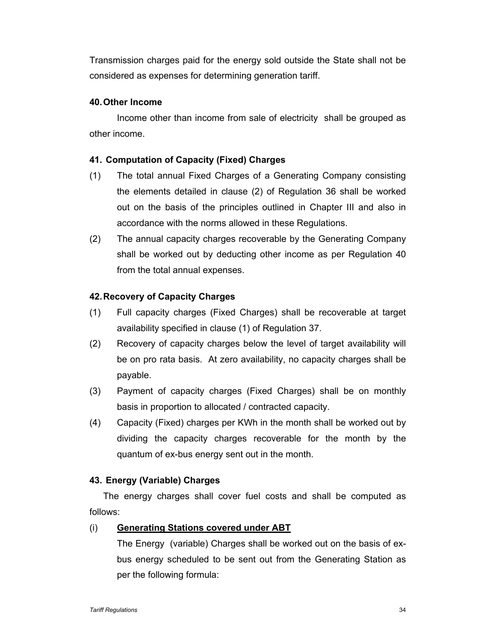Transmission charges paid for the energy sold outside the State shall not be considered as expenses for determining generation tariff.

# **40. Other Income**

Income other than income from sale of electricity shall be grouped as other income.

# **41. Computation of Capacity (Fixed) Charges**

- (1) The total annual Fixed Charges of a Generating Company consisting the elements detailed in clause (2) of Regulation 36 shall be worked out on the basis of the principles outlined in Chapter III and also in accordance with the norms allowed in these Regulations.
- (2) The annual capacity charges recoverable by the Generating Company shall be worked out by deducting other income as per Regulation 40 from the total annual expenses.

# **42. Recovery of Capacity Charges**

- (1) Full capacity charges (Fixed Charges) shall be recoverable at target availability specified in clause (1) of Regulation 37.
- (2) Recovery of capacity charges below the level of target availability will be on pro rata basis. At zero availability, no capacity charges shall be payable.
- (3) Payment of capacity charges (Fixed Charges) shall be on monthly basis in proportion to allocated / contracted capacity.
- (4) Capacity (Fixed) charges per KWh in the month shall be worked out by dividing the capacity charges recoverable for the month by the quantum of ex-bus energy sent out in the month.

### **43. Energy (Variable) Charges**

The energy charges shall cover fuel costs and shall be computed as follows:

### (i) **Generating Stations covered under ABT**

The Energy (variable) Charges shall be worked out on the basis of exbus energy scheduled to be sent out from the Generating Station as per the following formula: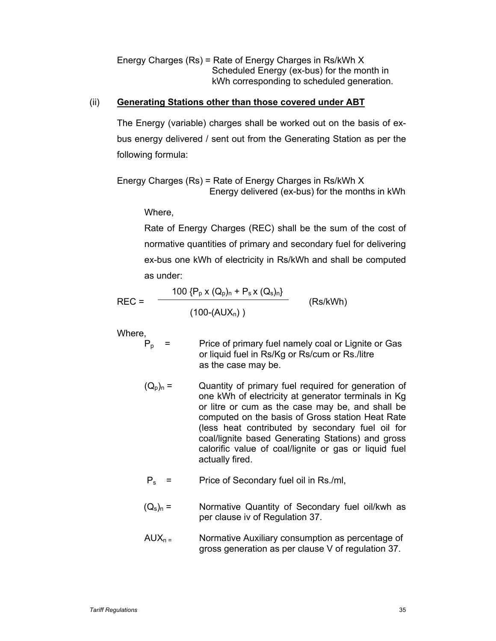Energy Charges (Rs) = Rate of Energy Charges in Rs/kWh X Scheduled Energy (ex-bus) for the month in kWh corresponding to scheduled generation.

# (ii) **Generating Stations other than those covered under ABT**

The Energy (variable) charges shall be worked out on the basis of exbus energy delivered / sent out from the Generating Station as per the following formula:

Energy Charges (Rs) = Rate of Energy Charges in Rs/kWh X Energy delivered (ex-bus) for the months in kWh

Where,

Rate of Energy Charges (REC) shall be the sum of the cost of normative quantities of primary and secondary fuel for delivering ex-bus one kWh of electricity in Rs/kWh and shall be computed as under:

$$
REC = \frac{100 \{ P_p \times (Q_p)_n + P_s \times (Q_s)_n \}}{(100 \cdot (AUX_n))}
$$
 (Rs/kWh)

Where,

- $P_p$  = Price of primary fuel namely coal or Lignite or Gas or liquid fuel in Rs/Kg or Rs/cum or Rs./litre as the case may be.
- $(Q_p)_n =$  Quantity of primary fuel required for generation of one kWh of electricity at generator terminals in Kg or litre or cum as the case may be, and shall be computed on the basis of Gross station Heat Rate (less heat contributed by secondary fuel oil for coal/lignite based Generating Stations) and gross calorific value of coal/lignite or gas or liquid fuel actually fired.
- $P_s$  = Price of Secondary fuel oil in Rs./ml,
- $(Q_s)_n =$  Normative Quantity of Secondary fuel oil/kwh as per clause iv of Regulation 37.
- $AUX_{n}$  = Normative Auxiliary consumption as percentage of gross generation as per clause V of regulation 37.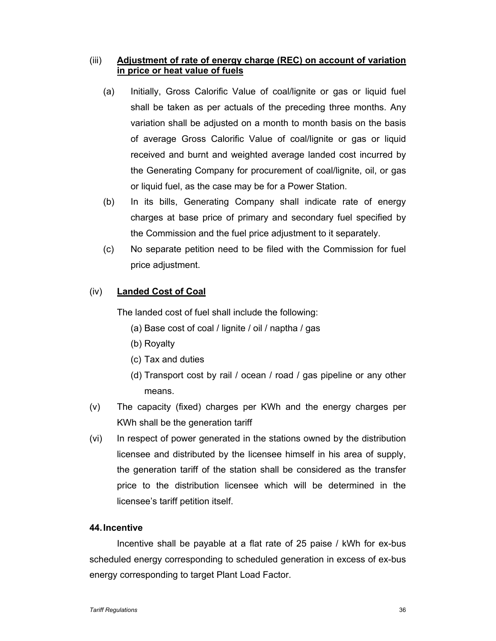# (iii) **Adjustment of rate of energy charge (REC) on account of variation in price or heat value of fuels**

- (a) Initially, Gross Calorific Value of coal/lignite or gas or liquid fuel shall be taken as per actuals of the preceding three months. Any variation shall be adjusted on a month to month basis on the basis of average Gross Calorific Value of coal/lignite or gas or liquid received and burnt and weighted average landed cost incurred by the Generating Company for procurement of coal/lignite, oil, or gas or liquid fuel, as the case may be for a Power Station.
- (b) In its bills, Generating Company shall indicate rate of energy charges at base price of primary and secondary fuel specified by the Commission and the fuel price adjustment to it separately.
- (c) No separate petition need to be filed with the Commission for fuel price adjustment.

# (iv) **Landed Cost of Coal**

The landed cost of fuel shall include the following:

- (a) Base cost of coal / lignite / oil / naptha / gas
- (b) Royalty
- (c) Tax and duties
- (d) Transport cost by rail / ocean / road / gas pipeline or any other means.
- (v) The capacity (fixed) charges per KWh and the energy charges per KWh shall be the generation tariff
- (vi) In respect of power generated in the stations owned by the distribution licensee and distributed by the licensee himself in his area of supply, the generation tariff of the station shall be considered as the transfer price to the distribution licensee which will be determined in the licensee's tariff petition itself.

### **44. Incentive**

Incentive shall be payable at a flat rate of 25 paise / kWh for ex-bus scheduled energy corresponding to scheduled generation in excess of ex-bus energy corresponding to target Plant Load Factor.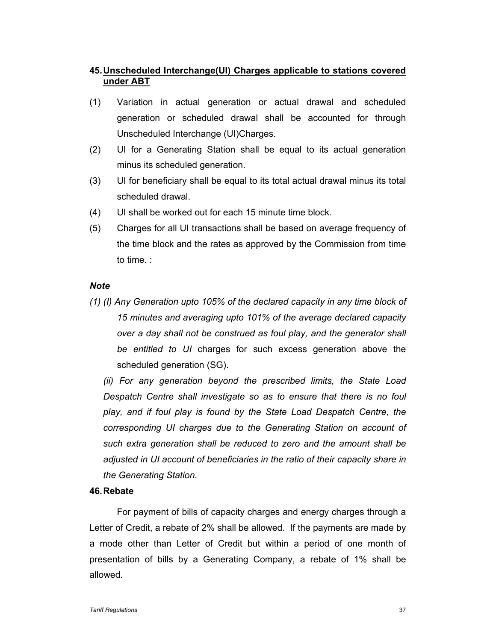# **45. Unscheduled Interchange(UI) Charges applicable to stations covered under ABT**

- (1) Variation in actual generation or actual drawal and scheduled generation or scheduled drawal shall be accounted for through Unscheduled Interchange (UI)Charges.
- (2) UI for a Generating Station shall be equal to its actual generation minus its scheduled generation.
- (3) UI for beneficiary shall be equal to its total actual drawal minus its total scheduled drawal.
- (4) UI shall be worked out for each 15 minute time block.
- (5) Charges for all UI transactions shall be based on average frequency of the time block and the rates as approved by the Commission from time to time. :

### *Note*

*(1) (I) Any Generation upto 105% of the declared capacity in any time block of 15 minutes and averaging upto 101% of the average declared capacity over a day shall not be construed as foul play, and the generator shall be entitled to UI* charges for such excess generation above the scheduled generation (SG).

*(ii) For any generation beyond the prescribed limits, the State Load Despatch Centre shall investigate so as to ensure that there is no foul play, and if foul play is found by the State Load Despatch Centre, the corresponding UI charges due to the Generating Station on account of such extra generation shall be reduced to zero and the amount shall be adjusted in UI account of beneficiaries in the ratio of their capacity share in the Generating Station.* 

### **46. Rebate**

For payment of bills of capacity charges and energy charges through a Letter of Credit, a rebate of 2% shall be allowed. If the payments are made by a mode other than Letter of Credit but within a period of one month of presentation of bills by a Generating Company, a rebate of 1% shall be allowed.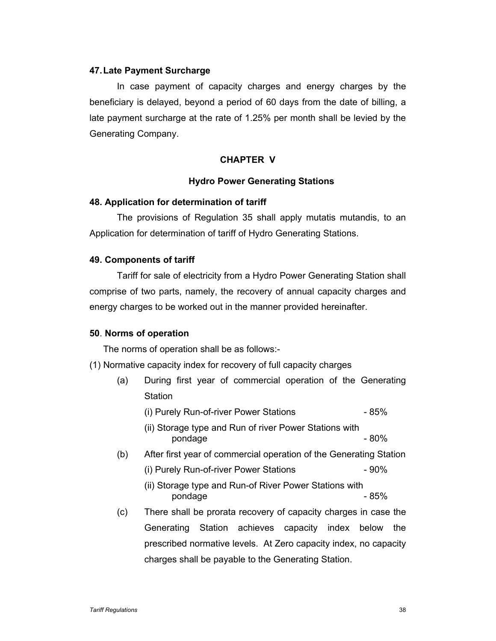### **47. Late Payment Surcharge**

In case payment of capacity charges and energy charges by the beneficiary is delayed, beyond a period of 60 days from the date of billing, a late payment surcharge at the rate of 1.25% per month shall be levied by the Generating Company.

### **CHAPTER V**

### **Hydro Power Generating Stations**

### **48. Application for determination of tariff**

The provisions of Regulation 35 shall apply mutatis mutandis, to an Application for determination of tariff of Hydro Generating Stations.

### **49. Components of tariff**

Tariff for sale of electricity from a Hydro Power Generating Station shall comprise of two parts, namely, the recovery of annual capacity charges and energy charges to be worked out in the manner provided hereinafter.

### **50**. **Norms of operation**

The norms of operation shall be as follows:-

- (1) Normative capacity index for recovery of full capacity charges
	- (a) During first year of commercial operation of the Generating **Station** 
		- (i) Purely Run-of-river Power Stations 85%
		- (ii) Storage type and Run of river Power Stations with pondage  $-80\%$
	- (b) After first year of commercial operation of the Generating Station
		- (i) Purely Run-of-river Power Stations 90%
		- (ii) Storage type and Run-of River Power Stations with pondage and a set of  $\sim$  85%
	- (c) There shall be prorata recovery of capacity charges in case the Generating Station achieves capacity index below the prescribed normative levels. At Zero capacity index, no capacity charges shall be payable to the Generating Station.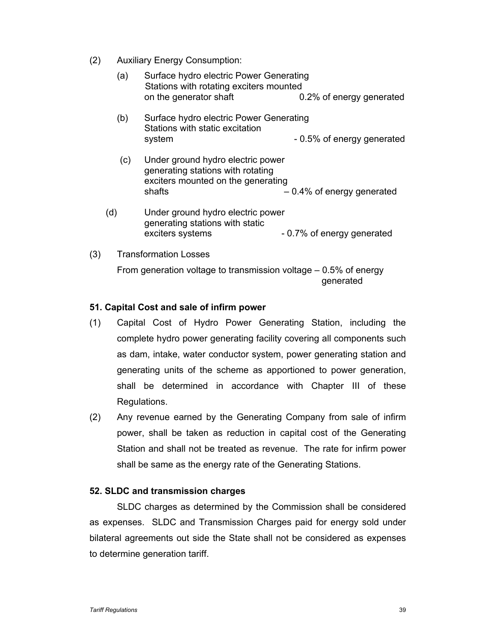(2) Auxiliary Energy Consumption:

|     | (a) | Surface hydro electric Power Generating<br>Stations with rotating exciters mounted<br>on the generator shaft           | 0.2% of energy generated     |
|-----|-----|------------------------------------------------------------------------------------------------------------------------|------------------------------|
|     | (b) | Surface hydro electric Power Generating<br>Stations with static excitation<br>system                                   | - 0.5% of energy generated   |
|     | (c) | Under ground hydro electric power<br>generating stations with rotating<br>exciters mounted on the generating<br>shafts | $-0.4\%$ of energy generated |
|     | (d) | Under ground hydro electric power<br>generating stations with static<br>exciters systems                               | - 0.7% of energy generated   |
| (3) |     | <b>Transformation Losses</b>                                                                                           |                              |

From generation voltage to transmission voltage – 0.5% of energy generated

# **51. Capital Cost and sale of infirm power**

- (1) Capital Cost of Hydro Power Generating Station, including the complete hydro power generating facility covering all components such as dam, intake, water conductor system, power generating station and generating units of the scheme as apportioned to power generation, shall be determined in accordance with Chapter III of these Regulations.
- (2) Any revenue earned by the Generating Company from sale of infirm power, shall be taken as reduction in capital cost of the Generating Station and shall not be treated as revenue. The rate for infirm power shall be same as the energy rate of the Generating Stations.

### **52. SLDC and transmission charges**

SLDC charges as determined by the Commission shall be considered as expenses. SLDC and Transmission Charges paid for energy sold under bilateral agreements out side the State shall not be considered as expenses to determine generation tariff.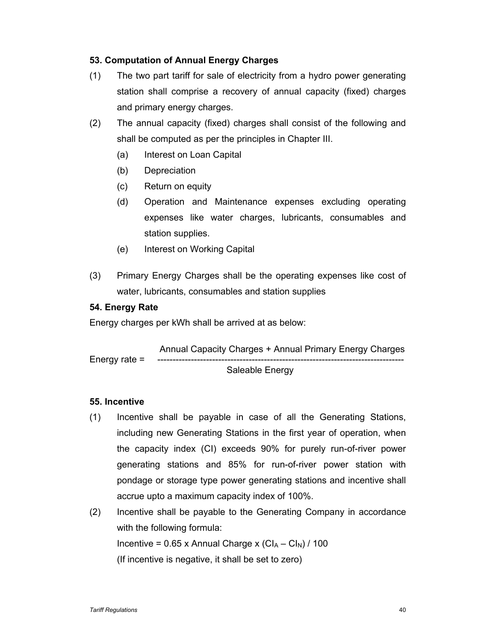# **53. Computation of Annual Energy Charges**

- (1) The two part tariff for sale of electricity from a hydro power generating station shall comprise a recovery of annual capacity (fixed) charges and primary energy charges.
- (2) The annual capacity (fixed) charges shall consist of the following and shall be computed as per the principles in Chapter III.
	- (a) Interest on Loan Capital
	- (b) Depreciation
	- (c) Return on equity
	- (d) Operation and Maintenance expenses excluding operating expenses like water charges, lubricants, consumables and station supplies.
	- (e) Interest on Working Capital
- (3) Primary Energy Charges shall be the operating expenses like cost of water, lubricants, consumables and station supplies

# **54. Energy Rate**

Energy charges per kWh shall be arrived at as below:

 Annual Capacity Charges + Annual Primary Energy Charges Energy rate  $=$ Saleable Energy

### **55. Incentive**

- (1) Incentive shall be payable in case of all the Generating Stations, including new Generating Stations in the first year of operation, when the capacity index (CI) exceeds 90% for purely run-of-river power generating stations and 85% for run-of-river power station with pondage or storage type power generating stations and incentive shall accrue upto a maximum capacity index of 100%.
- (2) Incentive shall be payable to the Generating Company in accordance with the following formula: Incentive =  $0.65$  x Annual Charge x (CI<sub>A</sub> – CI<sub>N</sub>) / 100 (If incentive is negative, it shall be set to zero)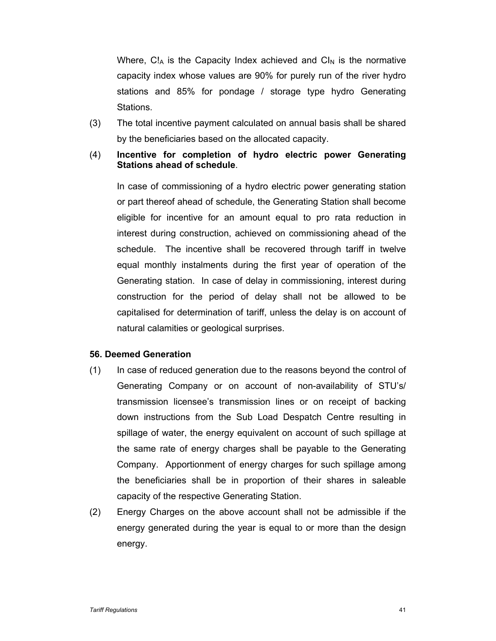Where,  $CI_A$  is the Capacity Index achieved and  $CI_N$  is the normative capacity index whose values are 90% for purely run of the river hydro stations and 85% for pondage / storage type hydro Generating Stations.

- (3) The total incentive payment calculated on annual basis shall be shared by the beneficiaries based on the allocated capacity.
- (4) **Incentive for completion of hydro electric power Generating Stations ahead of schedule**.

In case of commissioning of a hydro electric power generating station or part thereof ahead of schedule, the Generating Station shall become eligible for incentive for an amount equal to pro rata reduction in interest during construction, achieved on commissioning ahead of the schedule. The incentive shall be recovered through tariff in twelve equal monthly instalments during the first year of operation of the Generating station. In case of delay in commissioning, interest during construction for the period of delay shall not be allowed to be capitalised for determination of tariff, unless the delay is on account of natural calamities or geological surprises.

#### **56. Deemed Generation**

- (1) In case of reduced generation due to the reasons beyond the control of Generating Company or on account of non-availability of STU's/ transmission licensee's transmission lines or on receipt of backing down instructions from the Sub Load Despatch Centre resulting in spillage of water, the energy equivalent on account of such spillage at the same rate of energy charges shall be payable to the Generating Company. Apportionment of energy charges for such spillage among the beneficiaries shall be in proportion of their shares in saleable capacity of the respective Generating Station.
- (2) Energy Charges on the above account shall not be admissible if the energy generated during the year is equal to or more than the design energy.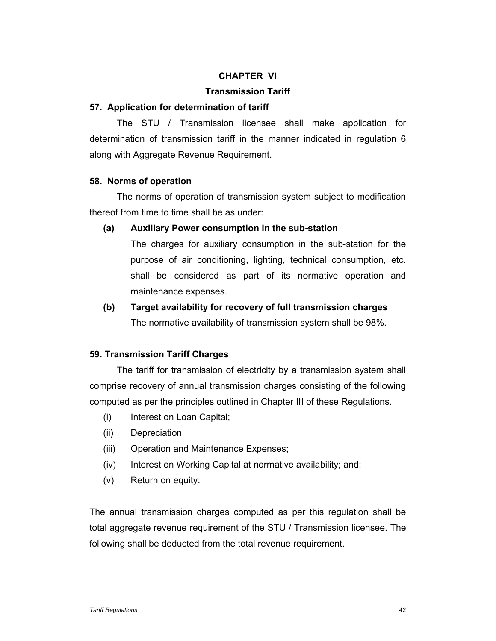# **CHAPTER VI**

# **Transmission Tariff**

### **57. Application for determination of tariff**

The STU / Transmission licensee shall make application for determination of transmission tariff in the manner indicated in regulation 6 along with Aggregate Revenue Requirement.

### **58. Norms of operation**

The norms of operation of transmission system subject to modification thereof from time to time shall be as under:

### **(a) Auxiliary Power consumption in the sub-station**

The charges for auxiliary consumption in the sub-station for the purpose of air conditioning, lighting, technical consumption, etc. shall be considered as part of its normative operation and maintenance expenses.

# **(b) Target availability for recovery of full transmission charges**  The normative availability of transmission system shall be 98%.

### **59. Transmission Tariff Charges**

The tariff for transmission of electricity by a transmission system shall comprise recovery of annual transmission charges consisting of the following computed as per the principles outlined in Chapter III of these Regulations.

- (i) Interest on Loan Capital;
- (ii) Depreciation
- (iii) Operation and Maintenance Expenses;
- (iv) Interest on Working Capital at normative availability; and:
- (v) Return on equity:

The annual transmission charges computed as per this regulation shall be total aggregate revenue requirement of the STU / Transmission licensee. The following shall be deducted from the total revenue requirement.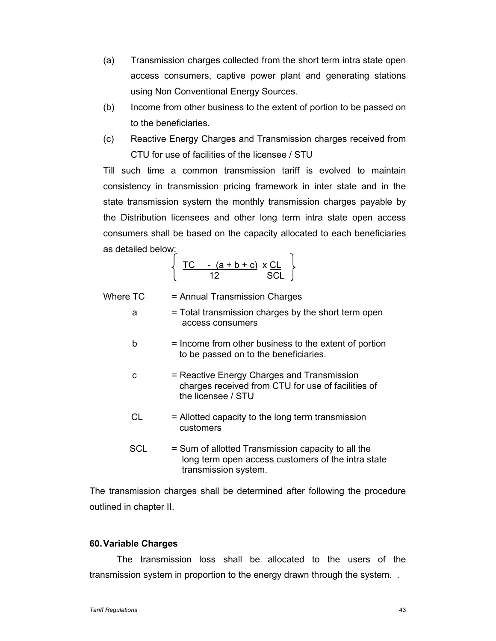- (a) Transmission charges collected from the short term intra state open access consumers, captive power plant and generating stations using Non Conventional Energy Sources.
- (b) Income from other business to the extent of portion to be passed on to the beneficiaries.
- (c) Reactive Energy Charges and Transmission charges received from CTU for use of facilities of the licensee / STU

Till such time a common transmission tariff is evolved to maintain consistency in transmission pricing framework in inter state and in the state transmission system the monthly transmission charges payable by the Distribution licensees and other long term intra state open access consumers shall be based on the capacity allocated to each beneficiaries as detailed below:

$$
\left\{\n \begin{array}{cc}\n \text{TC} & -(a+b+c) \times \text{CL} \\
\hline\n 12 & \text{SCL}\n \end{array}\n\right\}
$$

Where  $TC =$  Annual Transmission Charges

- a = Total transmission charges by the short term open access consumers
- $b =$  Income from other business to the extent of portion to be passed on to the beneficiaries.
- c = Reactive Energy Charges and Transmission charges received from CTU for use of facilities of the licensee / STU
- $CL =$  Allotted capacity to the long term transmission customers
- SCL = Sum of allotted Transmission capacity to all the long term open access customers of the intra state transmission system.

The transmission charges shall be determined after following the procedure outlined in chapter II.

### **60. Variable Charges**

The transmission loss shall be allocated to the users of the transmission system in proportion to the energy drawn through the system. .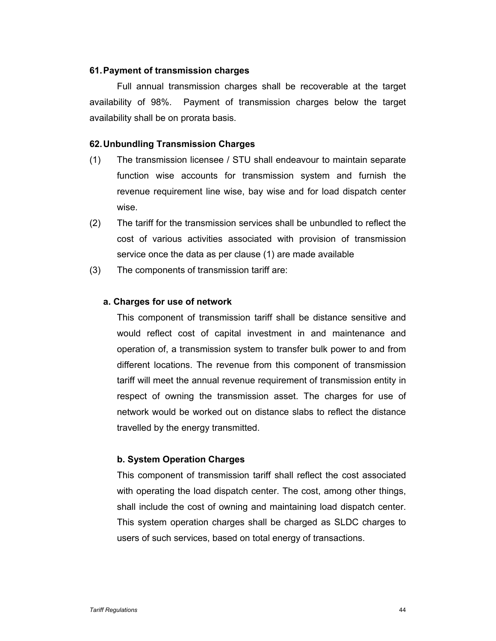### **61. Payment of transmission charges**

Full annual transmission charges shall be recoverable at the target availability of 98%. Payment of transmission charges below the target availability shall be on prorata basis.

### **62. Unbundling Transmission Charges**

- (1) The transmission licensee / STU shall endeavour to maintain separate function wise accounts for transmission system and furnish the revenue requirement line wise, bay wise and for load dispatch center wise.
- (2) The tariff for the transmission services shall be unbundled to reflect the cost of various activities associated with provision of transmission service once the data as per clause (1) are made available
- (3) The components of transmission tariff are:

### **a. Charges for use of network**

This component of transmission tariff shall be distance sensitive and would reflect cost of capital investment in and maintenance and operation of, a transmission system to transfer bulk power to and from different locations. The revenue from this component of transmission tariff will meet the annual revenue requirement of transmission entity in respect of owning the transmission asset. The charges for use of network would be worked out on distance slabs to reflect the distance travelled by the energy transmitted.

### **b. System Operation Charges**

This component of transmission tariff shall reflect the cost associated with operating the load dispatch center. The cost, among other things, shall include the cost of owning and maintaining load dispatch center. This system operation charges shall be charged as SLDC charges to users of such services, based on total energy of transactions.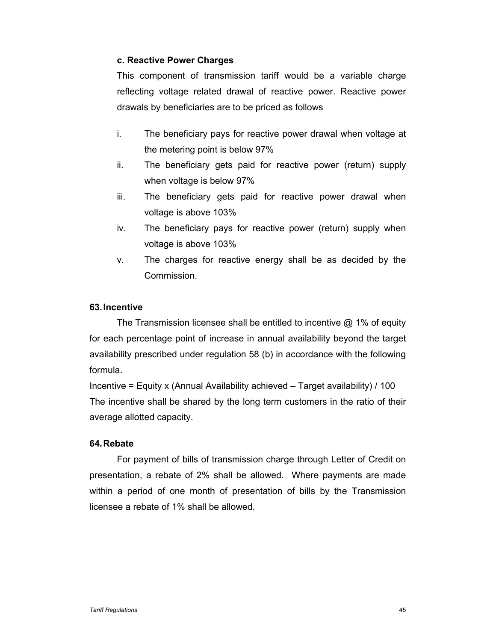# **c. Reactive Power Charges**

This component of transmission tariff would be a variable charge reflecting voltage related drawal of reactive power. Reactive power drawals by beneficiaries are to be priced as follows

- i. The beneficiary pays for reactive power drawal when voltage at the metering point is below 97%
- ii. The beneficiary gets paid for reactive power (return) supply when voltage is below 97%
- iii. The beneficiary gets paid for reactive power drawal when voltage is above 103%
- iv. The beneficiary pays for reactive power (return) supply when voltage is above 103%
- v. The charges for reactive energy shall be as decided by the Commission.

# **63. Incentive**

The Transmission licensee shall be entitled to incentive @ 1% of equity for each percentage point of increase in annual availability beyond the target availability prescribed under regulation 58 (b) in accordance with the following formula.

Incentive = Equity x (Annual Availability achieved  $-$  Target availability) / 100 The incentive shall be shared by the long term customers in the ratio of their average allotted capacity.

### **64. Rebate**

For payment of bills of transmission charge through Letter of Credit on presentation, a rebate of 2% shall be allowed. Where payments are made within a period of one month of presentation of bills by the Transmission licensee a rebate of 1% shall be allowed.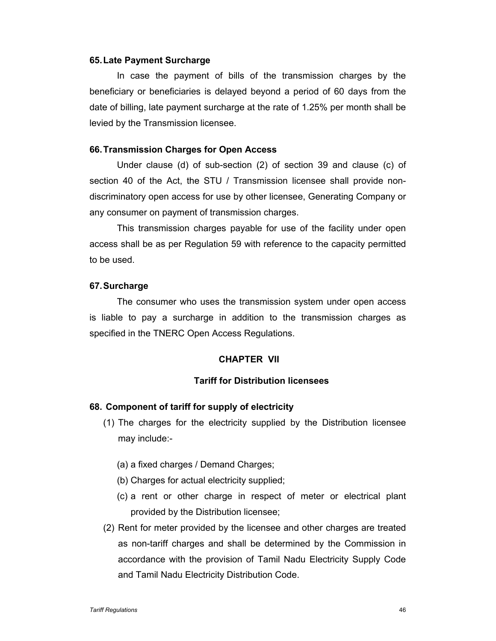#### **65. Late Payment Surcharge**

In case the payment of bills of the transmission charges by the beneficiary or beneficiaries is delayed beyond a period of 60 days from the date of billing, late payment surcharge at the rate of 1.25% per month shall be levied by the Transmission licensee.

#### **66. Transmission Charges for Open Access**

Under clause (d) of sub-section (2) of section 39 and clause (c) of section 40 of the Act, the STU / Transmission licensee shall provide nondiscriminatory open access for use by other licensee, Generating Company or any consumer on payment of transmission charges.

This transmission charges payable for use of the facility under open access shall be as per Regulation 59 with reference to the capacity permitted to be used.

#### **67. Surcharge**

The consumer who uses the transmission system under open access is liable to pay a surcharge in addition to the transmission charges as specified in the TNERC Open Access Regulations.

### **CHAPTER VII**

# **Tariff for Distribution licensees**

### **68. Component of tariff for supply of electricity**

- (1) The charges for the electricity supplied by the Distribution licensee may include:-
	- (a) a fixed charges / Demand Charges;
	- (b) Charges for actual electricity supplied;
	- (c) a rent or other charge in respect of meter or electrical plant provided by the Distribution licensee;
- (2) Rent for meter provided by the licensee and other charges are treated as non-tariff charges and shall be determined by the Commission in accordance with the provision of Tamil Nadu Electricity Supply Code and Tamil Nadu Electricity Distribution Code.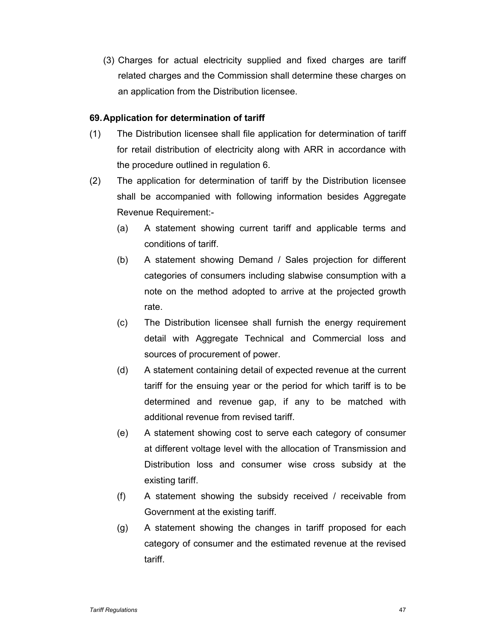(3) Charges for actual electricity supplied and fixed charges are tariff related charges and the Commission shall determine these charges on an application from the Distribution licensee.

# **69. Application for determination of tariff**

- (1) The Distribution licensee shall file application for determination of tariff for retail distribution of electricity along with ARR in accordance with the procedure outlined in regulation 6.
- (2) The application for determination of tariff by the Distribution licensee shall be accompanied with following information besides Aggregate Revenue Requirement:-
	- (a) A statement showing current tariff and applicable terms and conditions of tariff.
	- (b) A statement showing Demand / Sales projection for different categories of consumers including slabwise consumption with a note on the method adopted to arrive at the projected growth rate.
	- (c) The Distribution licensee shall furnish the energy requirement detail with Aggregate Technical and Commercial loss and sources of procurement of power.
	- (d) A statement containing detail of expected revenue at the current tariff for the ensuing year or the period for which tariff is to be determined and revenue gap, if any to be matched with additional revenue from revised tariff.
	- (e) A statement showing cost to serve each category of consumer at different voltage level with the allocation of Transmission and Distribution loss and consumer wise cross subsidy at the existing tariff.
	- (f) A statement showing the subsidy received / receivable from Government at the existing tariff.
	- (g) A statement showing the changes in tariff proposed for each category of consumer and the estimated revenue at the revised tariff.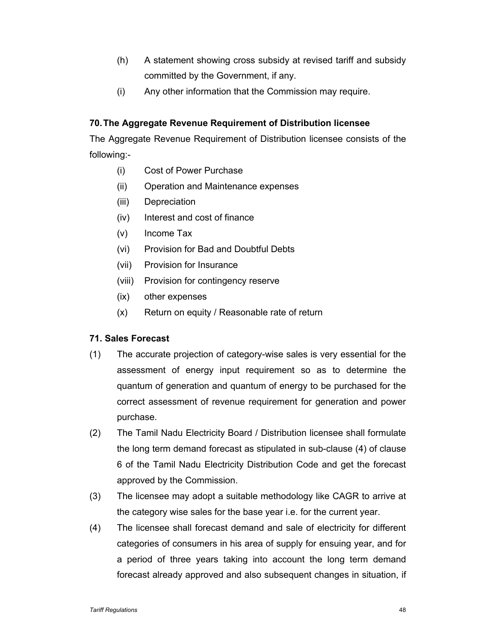- (h) A statement showing cross subsidy at revised tariff and subsidy committed by the Government, if any.
- (i) Any other information that the Commission may require.

# **70. The Aggregate Revenue Requirement of Distribution licensee**

The Aggregate Revenue Requirement of Distribution licensee consists of the following:-

- (i) Cost of Power Purchase
- (ii) Operation and Maintenance expenses
- (iii) Depreciation
- (iv) Interest and cost of finance
- (v) Income Tax
- (vi) Provision for Bad and Doubtful Debts
- (vii) Provision for Insurance
- (viii) Provision for contingency reserve
- (ix) other expenses
- (x) Return on equity / Reasonable rate of return

# **71. Sales Forecast**

- (1) The accurate projection of category-wise sales is very essential for the assessment of energy input requirement so as to determine the quantum of generation and quantum of energy to be purchased for the correct assessment of revenue requirement for generation and power purchase.
- (2) The Tamil Nadu Electricity Board / Distribution licensee shall formulate the long term demand forecast as stipulated in sub-clause (4) of clause 6 of the Tamil Nadu Electricity Distribution Code and get the forecast approved by the Commission.
- (3) The licensee may adopt a suitable methodology like CAGR to arrive at the category wise sales for the base year i.e. for the current year.
- (4) The licensee shall forecast demand and sale of electricity for different categories of consumers in his area of supply for ensuing year, and for a period of three years taking into account the long term demand forecast already approved and also subsequent changes in situation, if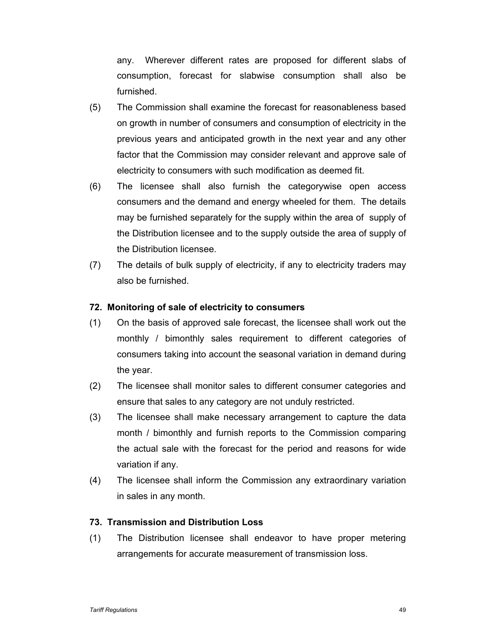any. Wherever different rates are proposed for different slabs of consumption, forecast for slabwise consumption shall also be furnished.

- (5) The Commission shall examine the forecast for reasonableness based on growth in number of consumers and consumption of electricity in the previous years and anticipated growth in the next year and any other factor that the Commission may consider relevant and approve sale of electricity to consumers with such modification as deemed fit.
- (6) The licensee shall also furnish the categorywise open access consumers and the demand and energy wheeled for them. The details may be furnished separately for the supply within the area of supply of the Distribution licensee and to the supply outside the area of supply of the Distribution licensee.
- (7) The details of bulk supply of electricity, if any to electricity traders may also be furnished.

# **72. Monitoring of sale of electricity to consumers**

- (1) On the basis of approved sale forecast, the licensee shall work out the monthly / bimonthly sales requirement to different categories of consumers taking into account the seasonal variation in demand during the year.
- (2) The licensee shall monitor sales to different consumer categories and ensure that sales to any category are not unduly restricted.
- (3) The licensee shall make necessary arrangement to capture the data month / bimonthly and furnish reports to the Commission comparing the actual sale with the forecast for the period and reasons for wide variation if any.
- (4) The licensee shall inform the Commission any extraordinary variation in sales in any month.

### **73. Transmission and Distribution Loss**

(1) The Distribution licensee shall endeavor to have proper metering arrangements for accurate measurement of transmission loss.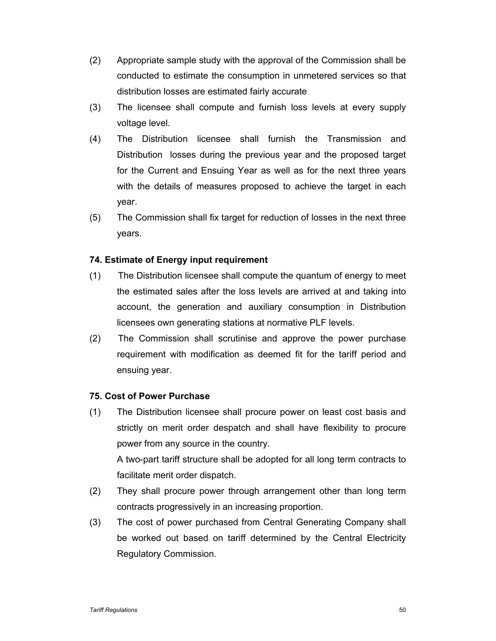- (2) Appropriate sample study with the approval of the Commission shall be conducted to estimate the consumption in unmetered services so that distribution losses are estimated fairly accurate
- (3) The licensee shall compute and furnish loss levels at every supply voltage level.
- (4) The Distribution licensee shall furnish the Transmission and Distribution losses during the previous year and the proposed target for the Current and Ensuing Year as well as for the next three years with the details of measures proposed to achieve the target in each year.
- (5) The Commission shall fix target for reduction of losses in the next three years.

# **74. Estimate of Energy input requirement**

- (1) The Distribution licensee shall compute the quantum of energy to meet the estimated sales after the loss levels are arrived at and taking into account, the generation and auxiliary consumption in Distribution licensees own generating stations at normative PLF levels.
- (2) The Commission shall scrutinise and approve the power purchase requirement with modification as deemed fit for the tariff period and ensuing year.

# **75. Cost of Power Purchase**

(1) The Distribution licensee shall procure power on least cost basis and strictly on merit order despatch and shall have flexibility to procure power from any source in the country.

A two-part tariff structure shall be adopted for all long term contracts to facilitate merit order dispatch.

- (2) They shall procure power through arrangement other than long term contracts progressively in an increasing proportion.
- (3) The cost of power purchased from Central Generating Company shall be worked out based on tariff determined by the Central Electricity Regulatory Commission.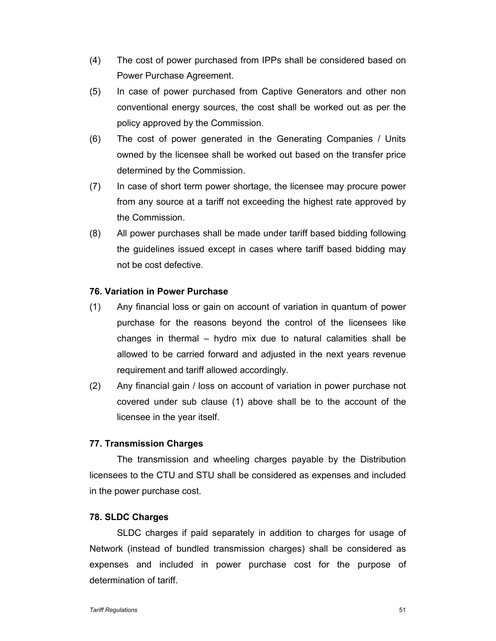- (4) The cost of power purchased from IPPs shall be considered based on Power Purchase Agreement.
- (5) In case of power purchased from Captive Generators and other non conventional energy sources, the cost shall be worked out as per the policy approved by the Commission.
- (6) The cost of power generated in the Generating Companies / Units owned by the licensee shall be worked out based on the transfer price determined by the Commission.
- (7) In case of short term power shortage, the licensee may procure power from any source at a tariff not exceeding the highest rate approved by the Commission.
- (8) All power purchases shall be made under tariff based bidding following the guidelines issued except in cases where tariff based bidding may not be cost defective.

# **76. Variation in Power Purchase**

- (1) Any financial loss or gain on account of variation in quantum of power purchase for the reasons beyond the control of the licensees like changes in thermal – hydro mix due to natural calamities shall be allowed to be carried forward and adjusted in the next years revenue requirement and tariff allowed accordingly.
- (2) Any financial gain / loss on account of variation in power purchase not covered under sub clause (1) above shall be to the account of the licensee in the year itself.

### **77. Transmission Charges**

The transmission and wheeling charges payable by the Distribution licensees to the CTU and STU shall be considered as expenses and included in the power purchase cost.

#### **78. SLDC Charges**

SLDC charges if paid separately in addition to charges for usage of Network (instead of bundled transmission charges) shall be considered as expenses and included in power purchase cost for the purpose of determination of tariff.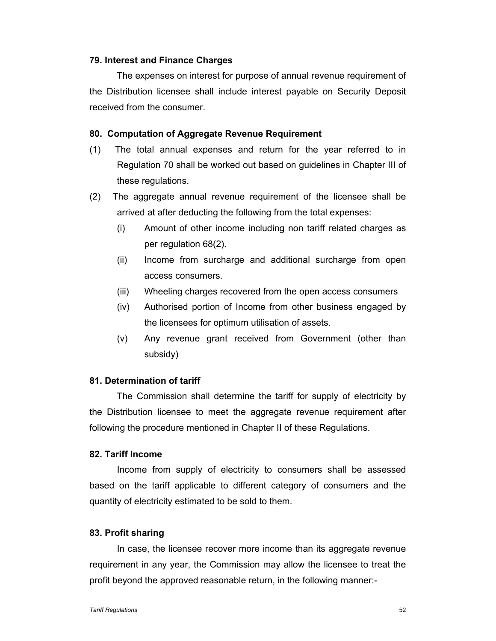### **79. Interest and Finance Charges**

The expenses on interest for purpose of annual revenue requirement of the Distribution licensee shall include interest payable on Security Deposit received from the consumer.

### **80. Computation of Aggregate Revenue Requirement**

- (1) The total annual expenses and return for the year referred to in Regulation 70 shall be worked out based on guidelines in Chapter III of these regulations.
- (2) The aggregate annual revenue requirement of the licensee shall be arrived at after deducting the following from the total expenses:
	- (i) Amount of other income including non tariff related charges as per regulation 68(2).
	- (ii) Income from surcharge and additional surcharge from open access consumers.
	- (iii) Wheeling charges recovered from the open access consumers
	- (iv) Authorised portion of Income from other business engaged by the licensees for optimum utilisation of assets.
	- (v) Any revenue grant received from Government (other than subsidy)

### **81. Determination of tariff**

The Commission shall determine the tariff for supply of electricity by the Distribution licensee to meet the aggregate revenue requirement after following the procedure mentioned in Chapter II of these Regulations.

### **82. Tariff Income**

Income from supply of electricity to consumers shall be assessed based on the tariff applicable to different category of consumers and the quantity of electricity estimated to be sold to them.

### **83. Profit sharing**

In case, the licensee recover more income than its aggregate revenue requirement in any year, the Commission may allow the licensee to treat the profit beyond the approved reasonable return, in the following manner:-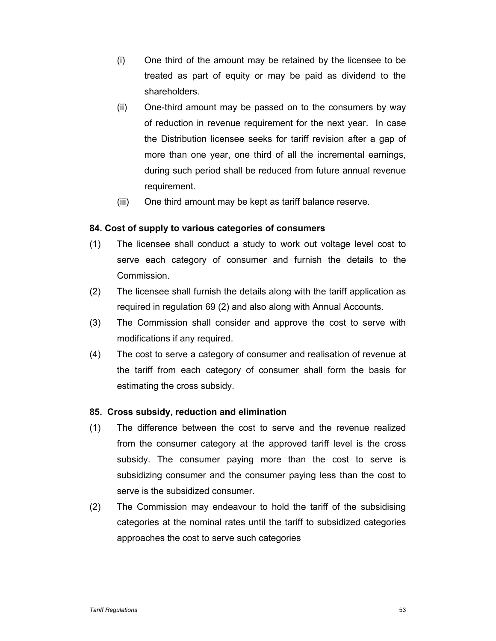- (i) One third of the amount may be retained by the licensee to be treated as part of equity or may be paid as dividend to the shareholders.
- (ii) One-third amount may be passed on to the consumers by way of reduction in revenue requirement for the next year. In case the Distribution licensee seeks for tariff revision after a gap of more than one year, one third of all the incremental earnings, during such period shall be reduced from future annual revenue requirement.
- (iii) One third amount may be kept as tariff balance reserve.

# **84. Cost of supply to various categories of consumers**

- (1) The licensee shall conduct a study to work out voltage level cost to serve each category of consumer and furnish the details to the Commission.
- (2) The licensee shall furnish the details along with the tariff application as required in regulation 69 (2) and also along with Annual Accounts.
- (3) The Commission shall consider and approve the cost to serve with modifications if any required.
- (4) The cost to serve a category of consumer and realisation of revenue at the tariff from each category of consumer shall form the basis for estimating the cross subsidy.

# **85. Cross subsidy, reduction and elimination**

- (1) The difference between the cost to serve and the revenue realized from the consumer category at the approved tariff level is the cross subsidy. The consumer paying more than the cost to serve is subsidizing consumer and the consumer paying less than the cost to serve is the subsidized consumer.
- (2) The Commission may endeavour to hold the tariff of the subsidising categories at the nominal rates until the tariff to subsidized categories approaches the cost to serve such categories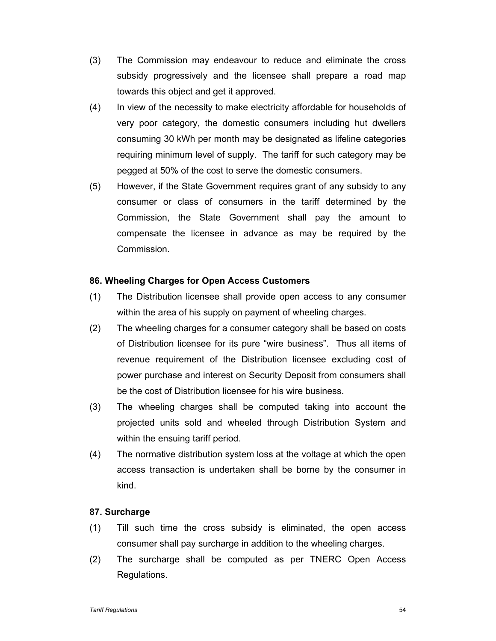- (3) The Commission may endeavour to reduce and eliminate the cross subsidy progressively and the licensee shall prepare a road map towards this object and get it approved.
- (4) In view of the necessity to make electricity affordable for households of very poor category, the domestic consumers including hut dwellers consuming 30 kWh per month may be designated as lifeline categories requiring minimum level of supply. The tariff for such category may be pegged at 50% of the cost to serve the domestic consumers.
- (5) However, if the State Government requires grant of any subsidy to any consumer or class of consumers in the tariff determined by the Commission, the State Government shall pay the amount to compensate the licensee in advance as may be required by the Commission.

### **86. Wheeling Charges for Open Access Customers**

- (1) The Distribution licensee shall provide open access to any consumer within the area of his supply on payment of wheeling charges.
- (2) The wheeling charges for a consumer category shall be based on costs of Distribution licensee for its pure "wire business". Thus all items of revenue requirement of the Distribution licensee excluding cost of power purchase and interest on Security Deposit from consumers shall be the cost of Distribution licensee for his wire business.
- (3) The wheeling charges shall be computed taking into account the projected units sold and wheeled through Distribution System and within the ensuing tariff period.
- (4) The normative distribution system loss at the voltage at which the open access transaction is undertaken shall be borne by the consumer in kind.

### **87. Surcharge**

- (1) Till such time the cross subsidy is eliminated, the open access consumer shall pay surcharge in addition to the wheeling charges.
- (2) The surcharge shall be computed as per TNERC Open Access Regulations.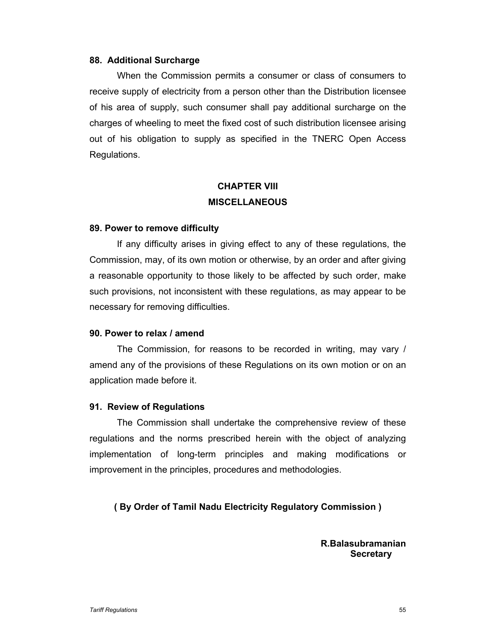### **88. Additional Surcharge**

When the Commission permits a consumer or class of consumers to receive supply of electricity from a person other than the Distribution licensee of his area of supply, such consumer shall pay additional surcharge on the charges of wheeling to meet the fixed cost of such distribution licensee arising out of his obligation to supply as specified in the TNERC Open Access Regulations.

# **CHAPTER VIII MISCELLANEOUS**

#### **89. Power to remove difficulty**

If any difficulty arises in giving effect to any of these regulations, the Commission, may, of its own motion or otherwise, by an order and after giving a reasonable opportunity to those likely to be affected by such order, make such provisions, not inconsistent with these regulations, as may appear to be necessary for removing difficulties.

### **90. Power to relax / amend**

The Commission, for reasons to be recorded in writing, may vary / amend any of the provisions of these Regulations on its own motion or on an application made before it.

### **91. Review of Regulations**

The Commission shall undertake the comprehensive review of these regulations and the norms prescribed herein with the object of analyzing implementation of long-term principles and making modifications or improvement in the principles, procedures and methodologies.

**( By Order of Tamil Nadu Electricity Regulatory Commission )** 

 **R.Balasubramanian Secretary**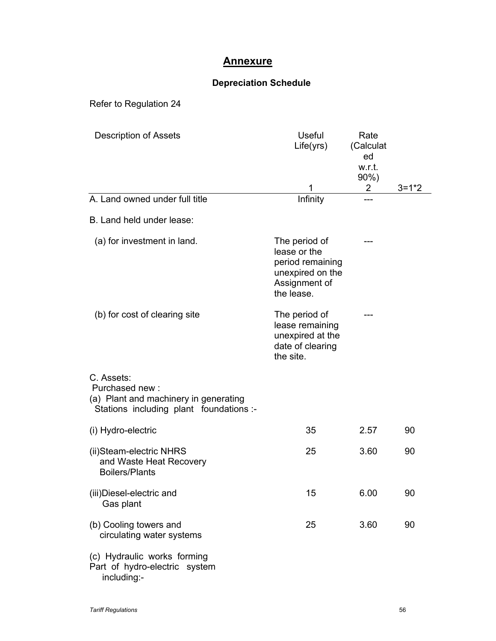# **Annexure**

# **Depreciation Schedule**

Refer to Regulation 24

| <b>Description of Assets</b>                                                                                     | <b>Useful</b><br>Life(yrs)                                                                           | Rate<br>(Calculat<br>ed<br>w.r.t.<br>$90\%$ ) |           |
|------------------------------------------------------------------------------------------------------------------|------------------------------------------------------------------------------------------------------|-----------------------------------------------|-----------|
| A. Land owned under full title                                                                                   | 1<br>Infinity                                                                                        | $\overline{2}$                                | $3 = 1*2$ |
| B. Land held under lease:                                                                                        |                                                                                                      |                                               |           |
| (a) for investment in land.                                                                                      | The period of<br>lease or the<br>period remaining<br>unexpired on the<br>Assignment of<br>the lease. |                                               |           |
| (b) for cost of clearing site                                                                                    | The period of<br>lease remaining<br>unexpired at the<br>date of clearing<br>the site.                |                                               |           |
| C. Assets:<br>Purchased new:<br>(a) Plant and machinery in generating<br>Stations including plant foundations :- |                                                                                                      |                                               |           |
| (i) Hydro-electric                                                                                               | 35                                                                                                   | 2.57                                          | 90        |
| (ii)Steam-electric NHRS<br>and Waste Heat Recovery<br><b>Boilers/Plants</b>                                      | 25                                                                                                   | 3.60                                          | 90        |
| (iii)Diesel-electric and<br>Gas plant                                                                            | 15                                                                                                   | 6.00                                          | 90        |
| (b) Cooling towers and<br>circulating water systems                                                              | 25                                                                                                   | 3.60                                          | 90        |
| (c) Hydraulic works forming<br>Part of hydro-electric system<br>including:-                                      |                                                                                                      |                                               |           |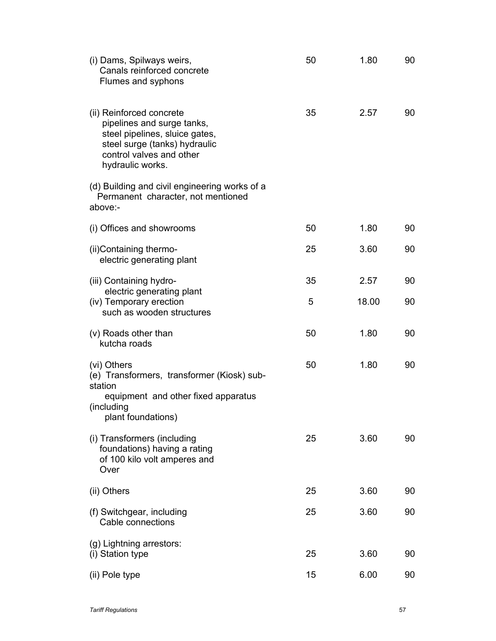| (i) Dams, Spilways weirs,<br>Canals reinforced concrete<br>Flumes and syphons                                                                                             | 50 | 1.80  | 90 |
|---------------------------------------------------------------------------------------------------------------------------------------------------------------------------|----|-------|----|
| (ii) Reinforced concrete<br>pipelines and surge tanks,<br>steel pipelines, sluice gates,<br>steel surge (tanks) hydraulic<br>control valves and other<br>hydraulic works. | 35 | 2.57  | 90 |
| (d) Building and civil engineering works of a<br>Permanent character, not mentioned<br>above:-                                                                            |    |       |    |
| (i) Offices and showrooms                                                                                                                                                 | 50 | 1.80  | 90 |
| (ii) Containing thermo-<br>electric generating plant                                                                                                                      | 25 | 3.60  | 90 |
| (iii) Containing hydro-<br>electric generating plant                                                                                                                      | 35 | 2.57  | 90 |
| (iv) Temporary erection<br>such as wooden structures                                                                                                                      | 5  | 18.00 | 90 |
| (v) Roads other than<br>kutcha roads                                                                                                                                      | 50 | 1.80  | 90 |
| (vi) Others<br>(e) Transformers, transformer (Kiosk) sub-<br>station<br>equipment and other fixed apparatus<br>(including<br>plant foundations)                           | 50 | 1.80  | 90 |
| (i) Transformers (including<br>foundations) having a rating<br>of 100 kilo volt amperes and<br>Over                                                                       | 25 | 3.60  | 90 |
| (ii) Others                                                                                                                                                               | 25 | 3.60  | 90 |
| (f) Switchgear, including<br>Cable connections                                                                                                                            | 25 | 3.60  | 90 |
| (g) Lightning arrestors:<br>(i) Station type                                                                                                                              | 25 | 3.60  | 90 |
| (ii) Pole type                                                                                                                                                            | 15 | 6.00  | 90 |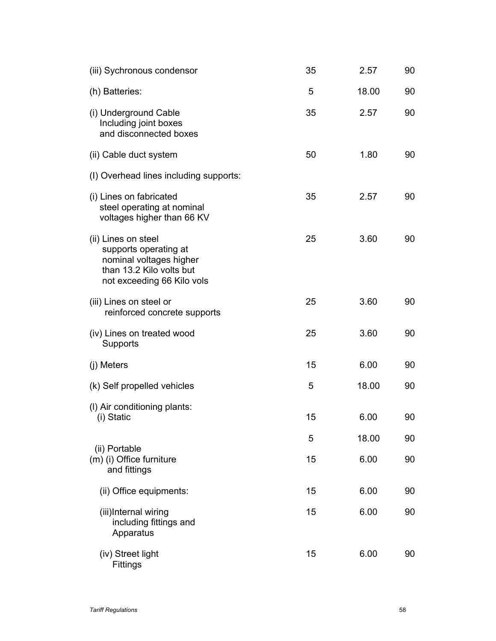| (iii) Sychronous condensor                                                                                                        | 35 | 2.57  | 90 |
|-----------------------------------------------------------------------------------------------------------------------------------|----|-------|----|
| (h) Batteries:                                                                                                                    | 5  | 18.00 | 90 |
| (i) Underground Cable<br>Including joint boxes<br>and disconnected boxes                                                          | 35 | 2.57  | 90 |
| (ii) Cable duct system                                                                                                            | 50 | 1.80  | 90 |
| (I) Overhead lines including supports:                                                                                            |    |       |    |
| (i) Lines on fabricated<br>steel operating at nominal<br>voltages higher than 66 KV                                               | 35 | 2.57  | 90 |
| (ii) Lines on steel<br>supports operating at<br>nominal voltages higher<br>than 13.2 Kilo volts but<br>not exceeding 66 Kilo vols | 25 | 3.60  | 90 |
| (iii) Lines on steel or<br>reinforced concrete supports                                                                           | 25 | 3.60  | 90 |
| (iv) Lines on treated wood<br>Supports                                                                                            | 25 | 3.60  | 90 |
| (j) Meters                                                                                                                        | 15 | 6.00  | 90 |
| (k) Self propelled vehicles                                                                                                       | 5  | 18.00 | 90 |
| (I) Air conditioning plants:<br>(i) Static                                                                                        | 15 | 6.00  | 90 |
|                                                                                                                                   | 5  | 18.00 | 90 |
| (ii) Portable<br>(m) (i) Office furniture<br>and fittings                                                                         | 15 | 6.00  | 90 |
| (ii) Office equipments:                                                                                                           | 15 | 6.00  | 90 |
| (iii)Internal wiring<br>including fittings and<br>Apparatus                                                                       | 15 | 6.00  | 90 |
| (iv) Street light<br>Fittings                                                                                                     | 15 | 6.00  | 90 |